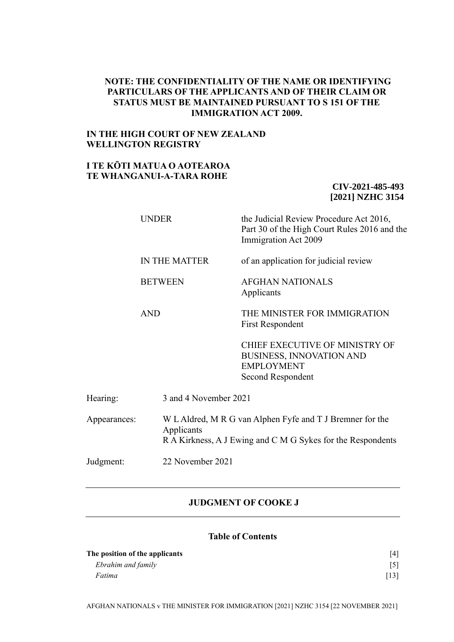### **NOTE: THE CONFIDENTIALITY OF THE NAME OR IDENTIFYING PARTICULARS OF THE APPLICANTS AND OF THEIR CLAIM OR STATUS MUST BE MAINTAINED PURSUANT TO S 151 OF THE IMMIGRATION ACT 2009.**

### **IN THE HIGH COURT OF NEW ZEALAND WELLINGTON REGISTRY**

## **I TE KŌTI MATUA O AOTEAROA TE WHANGANUI-A-TARA ROHE**

### **CIV-2021-485-493 [2021] NZHC 3154**

|              | <b>UNDER</b>   |                                                                                                                                        | the Judicial Review Procedure Act 2016,<br>Part 30 of the High Court Rules 2016 and the<br>Immigration Act 2009    |  |
|--------------|----------------|----------------------------------------------------------------------------------------------------------------------------------------|--------------------------------------------------------------------------------------------------------------------|--|
|              |                | IN THE MATTER                                                                                                                          | of an application for judicial review                                                                              |  |
|              | <b>BETWEEN</b> |                                                                                                                                        | AFGHAN NATIONALS<br>Applicants                                                                                     |  |
|              | <b>AND</b>     |                                                                                                                                        | THE MINISTER FOR IMMIGRATION<br><b>First Respondent</b>                                                            |  |
|              |                |                                                                                                                                        | <b>CHIEF EXECUTIVE OF MINISTRY OF</b><br><b>BUSINESS, INNOVATION AND</b><br><b>EMPLOYMENT</b><br>Second Respondent |  |
| Hearing:     |                | 3 and 4 November 2021                                                                                                                  |                                                                                                                    |  |
| Appearances: |                | W L Aldred, M R G van Alphen Fyfe and T J Bremner for the<br>Applicants<br>R A Kirkness, A J Ewing and C M G Sykes for the Respondents |                                                                                                                    |  |
| Judgment:    |                | 22 November 2021                                                                                                                       |                                                                                                                    |  |
|              |                |                                                                                                                                        |                                                                                                                    |  |

## **JUDGMENT OF COOKE J**

## **Table of Contents**

| The position of the applicants |      |
|--------------------------------|------|
| Ebrahim and family             |      |
| Fatima                         | [13] |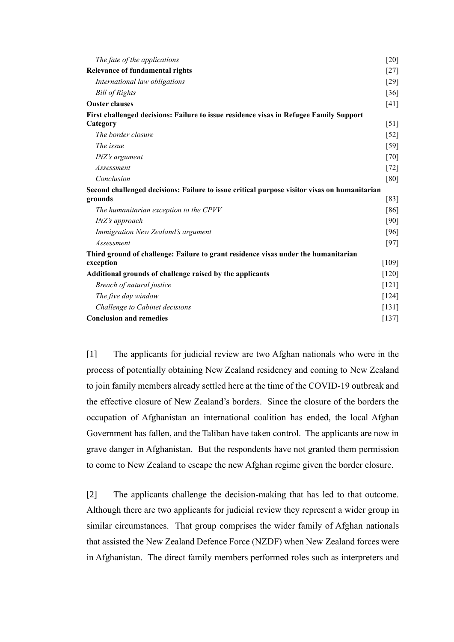| The fate of the applications                                                                 | $[20]$             |
|----------------------------------------------------------------------------------------------|--------------------|
| Relevance of fundamental rights                                                              | $[27]$             |
| International law obligations                                                                | $[29]$             |
| <b>Bill of Rights</b>                                                                        | $[36]$             |
| <b>Ouster clauses</b>                                                                        | [41]               |
| First challenged decisions: Failure to issue residence visas in Refugee Family Support       |                    |
| Category                                                                                     | $\lceil 51 \rceil$ |
| The border closure                                                                           | $[52]$             |
| The issue                                                                                    | [59]               |
| <i>INZ's argument</i>                                                                        | $[70]$             |
| Assessment                                                                                   | $[72]$             |
| Conclusion                                                                                   | [80]               |
| Second challenged decisions: Failure to issue critical purpose visitor visas on humanitarian |                    |
| grounds                                                                                      | [83]               |
| The humanitarian exception to the CPVV                                                       | [86]               |
| INZ's approach                                                                               | [90]               |
| Immigration New Zealand's argument                                                           | [96]               |
| <b>Assessment</b>                                                                            | $[97]$             |
| Third ground of challenge: Failure to grant residence visas under the humanitarian           |                    |
| exception                                                                                    | [109]              |
| Additional grounds of challenge raised by the applicants                                     | $[120]$            |
| Breach of natural justice                                                                    | $[121]$            |
| The five day window                                                                          | $[124]$            |
| Challenge to Cabinet decisions                                                               | [131]              |
| <b>Conclusion and remedies</b>                                                               | $[137]$            |

[1] The applicants for judicial review are two Afghan nationals who were in the process of potentially obtaining New Zealand residency and coming to New Zealand to join family members already settled here at the time of the COVID-19 outbreak and the effective closure of New Zealand's borders. Since the closure of the borders the occupation of Afghanistan an international coalition has ended, the local Afghan Government has fallen, and the Taliban have taken control. The applicants are now in grave danger in Afghanistan. But the respondents have not granted them permission to come to New Zealand to escape the new Afghan regime given the border closure.

[2] The applicants challenge the decision-making that has led to that outcome. Although there are two applicants for judicial review they represent a wider group in similar circumstances. That group comprises the wider family of Afghan nationals that assisted the New Zealand Defence Force (NZDF) when New Zealand forces were in Afghanistan. The direct family members performed roles such as interpreters and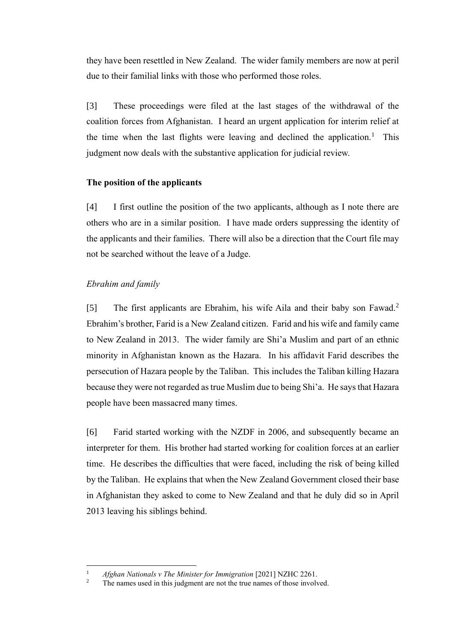they have been resettled in New Zealand. The wider family members are now at peril due to their familial links with those who performed those roles.

[3] These proceedings were filed at the last stages of the withdrawal of the coalition forces from Afghanistan. I heard an urgent application for interim relief at the time when the last flights were leaving and declined the application.<sup>1</sup> This judgment now deals with the substantive application for judicial review.

### <span id="page-2-0"></span>**The position of the applicants**

[4] I first outline the position of the two applicants, although as I note there are others who are in a similar position. I have made orders suppressing the identity of the applicants and their families. There will also be a direction that the Court file may not be searched without the leave of a Judge.

#### <span id="page-2-1"></span>*Ebrahim and family*

[5] The first applicants are Ebrahim, his wife Aila and their baby son Fawad.<sup>2</sup> Ebrahim's brother, Farid is a New Zealand citizen. Farid and his wife and family came to New Zealand in 2013. The wider family are Shi'a Muslim and part of an ethnic minority in Afghanistan known as the Hazara. In his affidavit Farid describes the persecution of Hazara people by the Taliban. This includes the Taliban killing Hazara because they were not regarded as true Muslim due to being Shi'a. He says that Hazara people have been massacred many times.

[6] Farid started working with the NZDF in 2006, and subsequently became an interpreter for them. His brother had started working for coalition forces at an earlier time. He describes the difficulties that were faced, including the risk of being killed by the Taliban. He explains that when the New Zealand Government closed their base in Afghanistan they asked to come to New Zealand and that he duly did so in April 2013 leaving his siblings behind.

<sup>&</sup>lt;sup>1</sup> *Afghan Nationals v The Minister for Immigration* [2021] NZHC 2261.

The names used in this judgment are not the true names of those involved.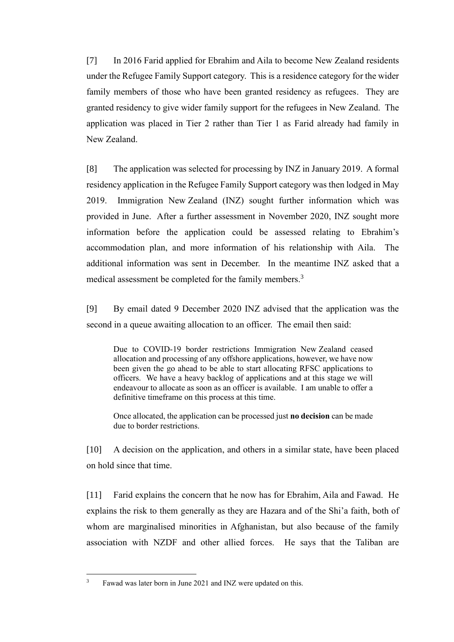[7] In 2016 Farid applied for Ebrahim and Aila to become New Zealand residents under the Refugee Family Support category. This is a residence category for the wider family members of those who have been granted residency as refugees. They are granted residency to give wider family support for the refugees in New Zealand. The application was placed in Tier 2 rather than Tier 1 as Farid already had family in New Zealand.

[8] The application was selected for processing by INZ in January 2019. A formal residency application in the Refugee Family Support category was then lodged in May 2019. Immigration New Zealand (INZ) sought further information which was provided in June. After a further assessment in November 2020, INZ sought more information before the application could be assessed relating to Ebrahim's accommodation plan, and more information of his relationship with Aila. The additional information was sent in December. In the meantime INZ asked that a medical assessment be completed for the family members.<sup>3</sup>

<span id="page-3-0"></span>[9] By email dated 9 December 2020 INZ advised that the application was the second in a queue awaiting allocation to an officer. The email then said:

Due to COVID-19 border restrictions Immigration New Zealand ceased allocation and processing of any offshore applications, however, we have now been given the go ahead to be able to start allocating RFSC applications to officers. We have a heavy backlog of applications and at this stage we will endeavour to allocate as soon as an officer is available. I am unable to offer a definitive timeframe on this process at this time.

Once allocated, the application can be processed just **no decision** can be made due to border restrictions.

[10] A decision on the application, and others in a similar state, have been placed on hold since that time.

[11] Farid explains the concern that he now has for Ebrahim, Aila and Fawad. He explains the risk to them generally as they are Hazara and of the Shi'a faith, both of whom are marginalised minorities in Afghanistan, but also because of the family association with NZDF and other allied forces. He says that the Taliban are

<sup>&</sup>lt;sup>3</sup> Fawad was later born in June 2021 and INZ were updated on this.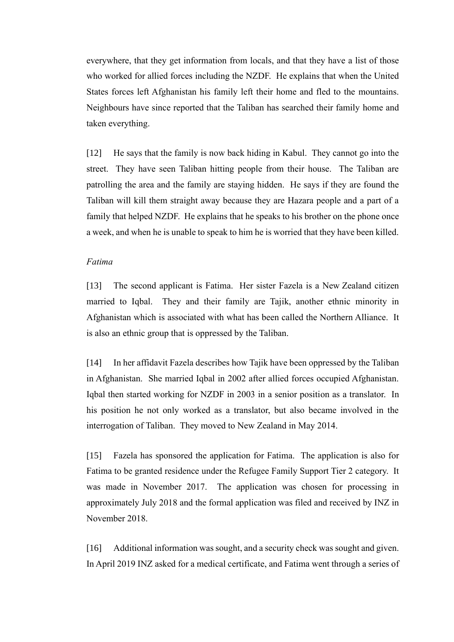everywhere, that they get information from locals, and that they have a list of those who worked for allied forces including the NZDF. He explains that when the United States forces left Afghanistan his family left their home and fled to the mountains. Neighbours have since reported that the Taliban has searched their family home and taken everything.

[12] He says that the family is now back hiding in Kabul. They cannot go into the street. They have seen Taliban hitting people from their house. The Taliban are patrolling the area and the family are staying hidden. He says if they are found the Taliban will kill them straight away because they are Hazara people and a part of a family that helped NZDF. He explains that he speaks to his brother on the phone once a week, and when he is unable to speak to him he is worried that they have been killed.

### <span id="page-4-0"></span>*Fatima*

[13] The second applicant is Fatima. Her sister Fazela is a New Zealand citizen married to Iqbal. They and their family are Tajik, another ethnic minority in Afghanistan which is associated with what has been called the Northern Alliance. It is also an ethnic group that is oppressed by the Taliban.

[14] In her affidavit Fazela describes how Tajik have been oppressed by the Taliban in Afghanistan. She married Iqbal in 2002 after allied forces occupied Afghanistan. Iqbal then started working for NZDF in 2003 in a senior position as a translator. In his position he not only worked as a translator, but also became involved in the interrogation of Taliban. They moved to New Zealand in May 2014.

[15] Fazela has sponsored the application for Fatima. The application is also for Fatima to be granted residence under the Refugee Family Support Tier 2 category. It was made in November 2017. The application was chosen for processing in approximately July 2018 and the formal application was filed and received by INZ in November 2018.

[16] Additional information was sought, and a security check was sought and given. In April 2019 INZ asked for a medical certificate, and Fatima went through a series of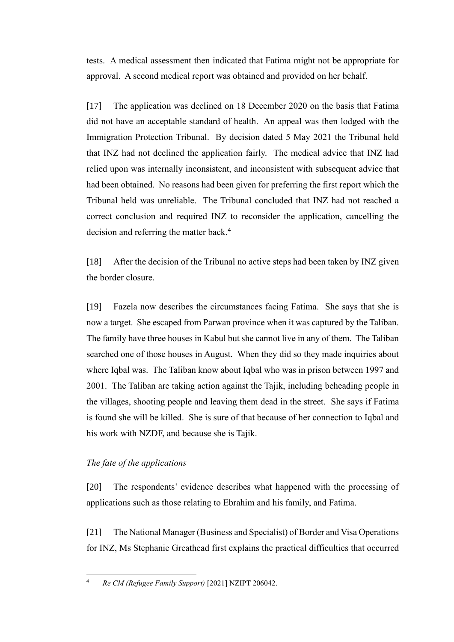tests. A medical assessment then indicated that Fatima might not be appropriate for approval. A second medical report was obtained and provided on her behalf.

[17] The application was declined on 18 December 2020 on the basis that Fatima did not have an acceptable standard of health. An appeal was then lodged with the Immigration Protection Tribunal. By decision dated 5 May 2021 the Tribunal held that INZ had not declined the application fairly. The medical advice that INZ had relied upon was internally inconsistent, and inconsistent with subsequent advice that had been obtained. No reasons had been given for preferring the first report which the Tribunal held was unreliable. The Tribunal concluded that INZ had not reached a correct conclusion and required INZ to reconsider the application, cancelling the decision and referring the matter back.<sup>4</sup>

[18] After the decision of the Tribunal no active steps had been taken by INZ given the border closure.

[19] Fazela now describes the circumstances facing Fatima. She says that she is now a target. She escaped from Parwan province when it was captured by the Taliban. The family have three houses in Kabul but she cannot live in any of them. The Taliban searched one of those houses in August. When they did so they made inquiries about where Iqbal was. The Taliban know about Iqbal who was in prison between 1997 and 2001. The Taliban are taking action against the Tajik, including beheading people in the villages, shooting people and leaving them dead in the street. She says if Fatima is found she will be killed. She is sure of that because of her connection to Iqbal and his work with NZDF, and because she is Tajik.

## <span id="page-5-0"></span>*The fate of the applications*

[20] The respondents' evidence describes what happened with the processing of applications such as those relating to Ebrahim and his family, and Fatima.

<span id="page-5-1"></span>[21] The National Manager (Business and Specialist) of Border and Visa Operations for INZ, Ms Stephanie Greathead first explains the practical difficulties that occurred

<sup>4</sup> *Re CM (Refugee Family Support)* [2021] NZIPT 206042.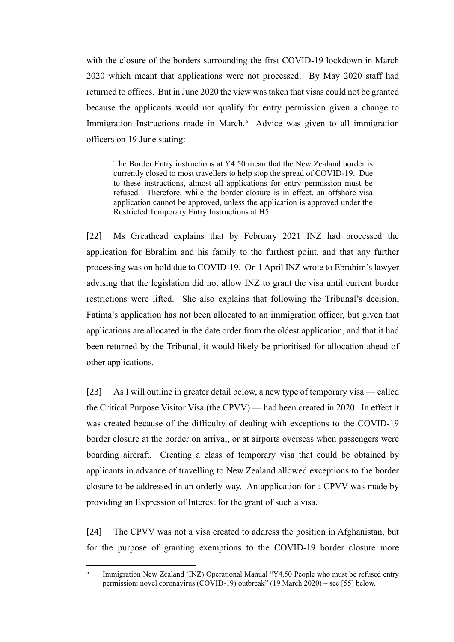with the closure of the borders surrounding the first COVID-19 lockdown in March 2020 which meant that applications were not processed. By May 2020 staff had returned to offices. But in June 2020 the view was taken that visas could not be granted because the applicants would not qualify for entry permission given a change to Immigration Instructions made in March.<sup>5</sup> Advice was given to all immigration officers on 19 June stating:

The Border Entry instructions at Y4.50 mean that the New Zealand border is currently closed to most travellers to help stop the spread of COVID-19. Due to these instructions, almost all applications for entry permission must be refused. Therefore, while the border closure is in effect, an offshore visa application cannot be approved, unless the application is approved under the Restricted Temporary Entry Instructions at H5.

[22] Ms Greathead explains that by February 2021 INZ had processed the application for Ebrahim and his family to the furthest point, and that any further processing was on hold due to COVID-19. On 1 April INZ wrote to Ebrahim's lawyer advising that the legislation did not allow INZ to grant the visa until current border restrictions were lifted. She also explains that following the Tribunal's decision, Fatima's application has not been allocated to an immigration officer, but given that applications are allocated in the date order from the oldest application, and that it had been returned by the Tribunal, it would likely be prioritised for allocation ahead of other applications.

[23] As I will outline in greater detail below, a new type of temporary visa — called the Critical Purpose Visitor Visa (the CPVV) — had been created in 2020. In effect it was created because of the difficulty of dealing with exceptions to the COVID-19 border closure at the border on arrival, or at airports overseas when passengers were boarding aircraft. Creating a class of temporary visa that could be obtained by applicants in advance of travelling to New Zealand allowed exceptions to the border closure to be addressed in an orderly way. An application for a CPVV was made by providing an Expression of Interest for the grant of such a visa.

[24] The CPVV was not a visa created to address the position in Afghanistan, but for the purpose of granting exemptions to the COVID-19 border closure more

<sup>5</sup> Immigration New Zealand (INZ) Operational Manual "Y4.50 People who must be refused entry permission: novel coronavirus (COVID-19) outbreak" (19 March 2020) – see [\[55\]](#page-16-0) below.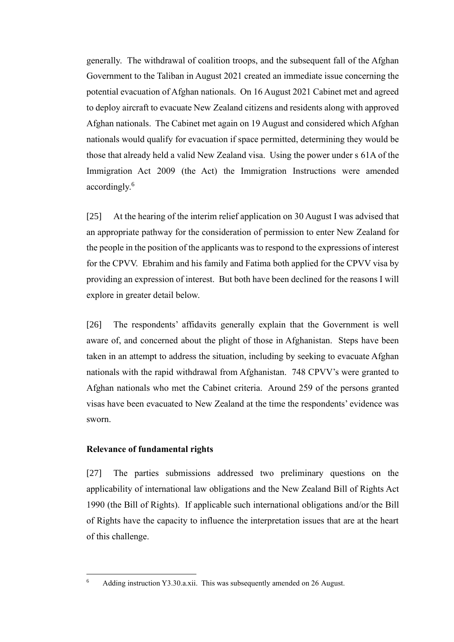generally. The withdrawal of coalition troops, and the subsequent fall of the Afghan Government to the Taliban in August 2021 created an immediate issue concerning the potential evacuation of Afghan nationals. On 16 August 2021 Cabinet met and agreed to deploy aircraft to evacuate New Zealand citizens and residents along with approved Afghan nationals. The Cabinet met again on 19 August and considered which Afghan nationals would qualify for evacuation if space permitted, determining they would be those that already held a valid New Zealand visa. Using the power under s 61A of the Immigration Act 2009 (the Act) the Immigration Instructions were amended accordingly. 6

[25] At the hearing of the interim relief application on 30 August I was advised that an appropriate pathway for the consideration of permission to enter New Zealand for the people in the position of the applicants was to respond to the expressions of interest for the CPVV. Ebrahim and his family and Fatima both applied for the CPVV visa by providing an expression of interest. But both have been declined for the reasons I will explore in greater detail below.

[26] The respondents' affidavits generally explain that the Government is well aware of, and concerned about the plight of those in Afghanistan. Steps have been taken in an attempt to address the situation, including by seeking to evacuate Afghan nationals with the rapid withdrawal from Afghanistan. 748 CPVV's were granted to Afghan nationals who met the Cabinet criteria. Around 259 of the persons granted visas have been evacuated to New Zealand at the time the respondents' evidence was sworn.

#### <span id="page-7-0"></span>**Relevance of fundamental rights**

[27] The parties submissions addressed two preliminary questions on the applicability of international law obligations and the New Zealand Bill of Rights Act 1990 (the Bill of Rights). If applicable such international obligations and/or the Bill of Rights have the capacity to influence the interpretation issues that are at the heart of this challenge.

<sup>6</sup> Adding instruction Y3.30.a.xii. This was subsequently amended on 26 August.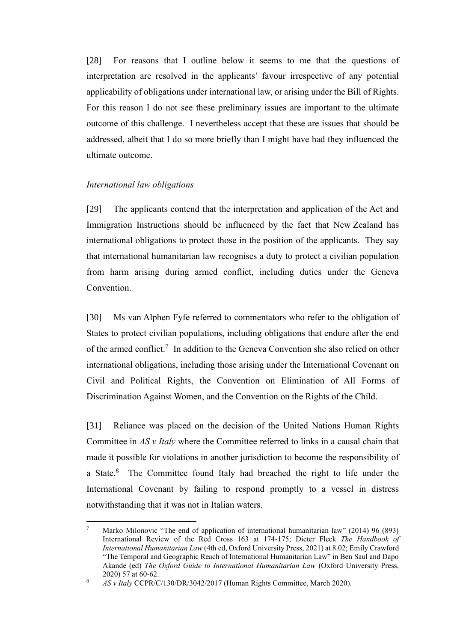[28] For reasons that I outline below it seems to me that the questions of interpretation are resolved in the applicants' favour irrespective of any potential applicability of obligations under international law, or arising under the Bill of Rights. For this reason I do not see these preliminary issues are important to the ultimate outcome of this challenge. I nevertheless accept that these are issues that should be addressed, albeit that I do so more briefly than I might have had they influenced the ultimate outcome.

### <span id="page-8-0"></span>*International law obligations*

[29] The applicants contend that the interpretation and application of the Act and Immigration Instructions should be influenced by the fact that New Zealand has international obligations to protect those in the position of the applicants. They say that international humanitarian law recognises a duty to protect a civilian population from harm arising during armed conflict, including duties under the Geneva Convention.

[30] Ms van Alphen Fyfe referred to commentators who refer to the obligation of States to protect civilian populations, including obligations that endure after the end of the armed conflict.<sup>7</sup> In addition to the Geneva Convention she also relied on other international obligations, including those arising under the International Covenant on Civil and Political Rights, the Convention on Elimination of All Forms of Discrimination Against Women, and the Convention on the Rights of the Child.

[31] Reliance was placed on the decision of the United Nations Human Rights Committee in *AS v Italy* where the Committee referred to links in a causal chain that made it possible for violations in another jurisdiction to become the responsibility of a State.<sup>8</sup> The Committee found Italy had breached the right to life under the International Covenant by failing to respond promptly to a vessel in distress notwithstanding that it was not in Italian waters.

Marko Milonovic "The end of application of international humanitarian law" (2014) 96 (893) International Review of the Red Cross 163 at 174-175; Dieter Fleck *The Handbook of International Humanitarian Law* (4th ed, Oxford University Press, 2021) at 8.02; Emily Crawford "The Temporal and Geographic Reach of International Humanitarian Law" in Ben Saul and Dapo Akande (ed) *The Oxford Guide to International Humanitarian Law* (Oxford University Press, 2020) 57 at 60-62.

<sup>8</sup> *AS v Italy* CCPR/C/130/DR/3042/2017 (Human Rights Committee, March 2020).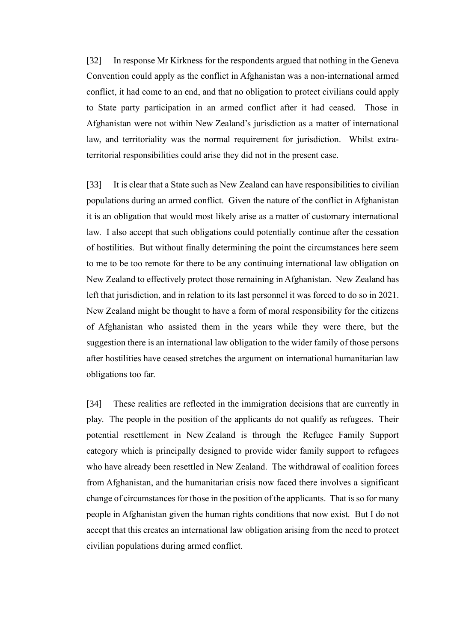[32] In response Mr Kirkness for the respondents argued that nothing in the Geneva Convention could apply as the conflict in Afghanistan was a non-international armed conflict, it had come to an end, and that no obligation to protect civilians could apply to State party participation in an armed conflict after it had ceased. Those in Afghanistan were not within New Zealand's jurisdiction as a matter of international law, and territoriality was the normal requirement for jurisdiction. Whilst extraterritorial responsibilities could arise they did not in the present case.

[33] It is clear that a State such as New Zealand can have responsibilities to civilian populations during an armed conflict. Given the nature of the conflict in Afghanistan it is an obligation that would most likely arise as a matter of customary international law. I also accept that such obligations could potentially continue after the cessation of hostilities. But without finally determining the point the circumstances here seem to me to be too remote for there to be any continuing international law obligation on New Zealand to effectively protect those remaining in Afghanistan. New Zealand has left that jurisdiction, and in relation to its last personnel it was forced to do so in 2021. New Zealand might be thought to have a form of moral responsibility for the citizens of Afghanistan who assisted them in the years while they were there, but the suggestion there is an international law obligation to the wider family of those persons after hostilities have ceased stretches the argument on international humanitarian law obligations too far.

[34] These realities are reflected in the immigration decisions that are currently in play. The people in the position of the applicants do not qualify as refugees. Their potential resettlement in New Zealand is through the Refugee Family Support category which is principally designed to provide wider family support to refugees who have already been resettled in New Zealand. The withdrawal of coalition forces from Afghanistan, and the humanitarian crisis now faced there involves a significant change of circumstances for those in the position of the applicants. That is so for many people in Afghanistan given the human rights conditions that now exist. But I do not accept that this creates an international law obligation arising from the need to protect civilian populations during armed conflict.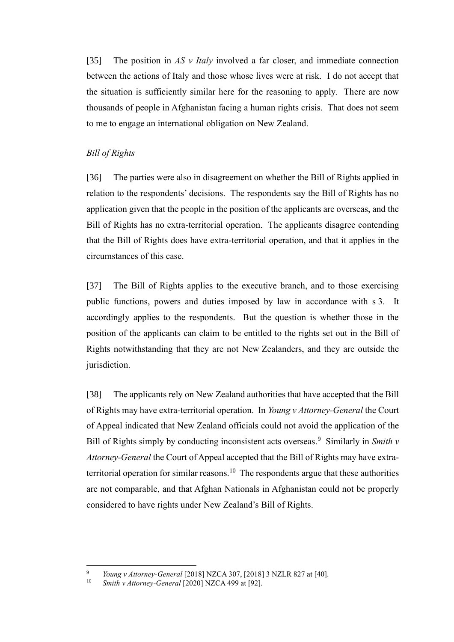[35] The position in *AS v Italy* involved a far closer, and immediate connection between the actions of Italy and those whose lives were at risk. I do not accept that the situation is sufficiently similar here for the reasoning to apply. There are now thousands of people in Afghanistan facing a human rights crisis. That does not seem to me to engage an international obligation on New Zealand.

## <span id="page-10-0"></span>*Bill of Rights*

[36] The parties were also in disagreement on whether the Bill of Rights applied in relation to the respondents' decisions. The respondents say the Bill of Rights has no application given that the people in the position of the applicants are overseas, and the Bill of Rights has no extra-territorial operation. The applicants disagree contending that the Bill of Rights does have extra-territorial operation, and that it applies in the circumstances of this case.

[37] The Bill of Rights applies to the executive branch, and to those exercising public functions, powers and duties imposed by law in accordance with s 3. It accordingly applies to the respondents. But the question is whether those in the position of the applicants can claim to be entitled to the rights set out in the Bill of Rights notwithstanding that they are not New Zealanders, and they are outside the jurisdiction.

[38] The applicants rely on New Zealand authorities that have accepted that the Bill of Rights may have extra-territorial operation. In *Young v Attorney-General* the Court of Appeal indicated that New Zealand officials could not avoid the application of the Bill of Rights simply by conducting inconsistent acts overseas.<sup>9</sup> Similarly in *Smith v Attorney-General* the Court of Appeal accepted that the Bill of Rights may have extraterritorial operation for similar reasons.<sup>10</sup> The respondents argue that these authorities are not comparable, and that Afghan Nationals in Afghanistan could not be properly considered to have rights under New Zealand's Bill of Rights.

<sup>9</sup> *Young v Attorney-General* [2018] NZCA 307, [2018] 3 NZLR 827 at [40].

Smith v Attorney-General [2020] NZCA 499 at [92].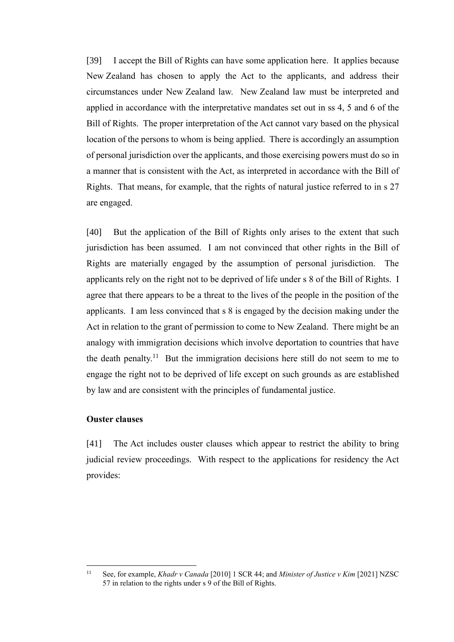[39] I accept the Bill of Rights can have some application here. It applies because New Zealand has chosen to apply the Act to the applicants, and address their circumstances under New Zealand law. New Zealand law must be interpreted and applied in accordance with the interpretative mandates set out in ss 4, 5 and 6 of the Bill of Rights. The proper interpretation of the Act cannot vary based on the physical location of the persons to whom is being applied. There is accordingly an assumption of personal jurisdiction over the applicants, and those exercising powers must do so in a manner that is consistent with the Act, as interpreted in accordance with the Bill of Rights. That means, for example, that the rights of natural justice referred to in s 27 are engaged.

[40] But the application of the Bill of Rights only arises to the extent that such jurisdiction has been assumed. I am not convinced that other rights in the Bill of Rights are materially engaged by the assumption of personal jurisdiction. The applicants rely on the right not to be deprived of life under s 8 of the Bill of Rights. I agree that there appears to be a threat to the lives of the people in the position of the applicants. I am less convinced that s 8 is engaged by the decision making under the Act in relation to the grant of permission to come to New Zealand. There might be an analogy with immigration decisions which involve deportation to countries that have the death penalty.<sup>11</sup> But the immigration decisions here still do not seem to me to engage the right not to be deprived of life except on such grounds as are established by law and are consistent with the principles of fundamental justice.

#### <span id="page-11-0"></span>**Ouster clauses**

[41] The Act includes ouster clauses which appear to restrict the ability to bring judicial review proceedings. With respect to the applications for residency the Act provides:

<sup>11</sup> See, for example, *Khadr v Canada* [2010] 1 SCR 44; and *Minister of Justice v Kim* [2021] NZSC 57 in relation to the rights under  $s$  9 of the Bill of Rights.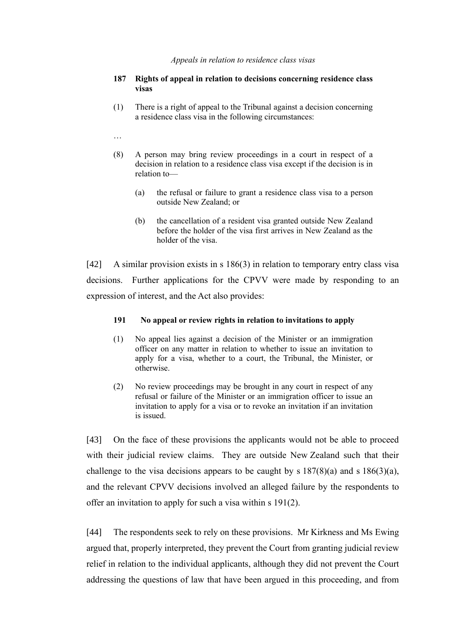#### *Appeals in relation to residence class visas*

#### **187 Rights of appeal in relation to decisions concerning residence class visas**

(1) There is a right of appeal to the Tribunal against a decision concerning a residence class visa in the following circumstances:

…

- (8) A person may bring review proceedings in a court in respect of a decision in relation to a residence class visa except if the decision is in relation to—
	- (a) the refusal or failure to grant a residence class visa to a person outside New Zealand; or
	- (b) the cancellation of a resident visa granted outside New Zealand before the holder of the visa first arrives in New Zealand as the holder of the visa.

[42] A similar provision exists in s 186(3) in relation to temporary entry class visa decisions. Further applications for the CPVV were made by responding to an expression of interest, and the Act also provides:

#### **191 No appeal or review rights in relation to invitations to apply**

- (1) No appeal lies against a decision of the Minister or an immigration officer on any matter in relation to whether to issue an invitation to apply for a visa, whether to a court, the Tribunal, the Minister, or otherwise.
- (2) No review proceedings may be brought in any court in respect of any refusal or failure of the Minister or an immigration officer to issue an invitation to apply for a visa or to revoke an invitation if an invitation is issued.

[43] On the face of these provisions the applicants would not be able to proceed with their judicial review claims. They are outside New Zealand such that their challenge to the visa decisions appears to be caught by s  $187(8)(a)$  and s  $186(3)(a)$ , and the relevant CPVV decisions involved an alleged failure by the respondents to offer an invitation to apply for such a visa within s 191(2).

[44] The respondents seek to rely on these provisions. Mr Kirkness and Ms Ewing argued that, properly interpreted, they prevent the Court from granting judicial review relief in relation to the individual applicants, although they did not prevent the Court addressing the questions of law that have been argued in this proceeding, and from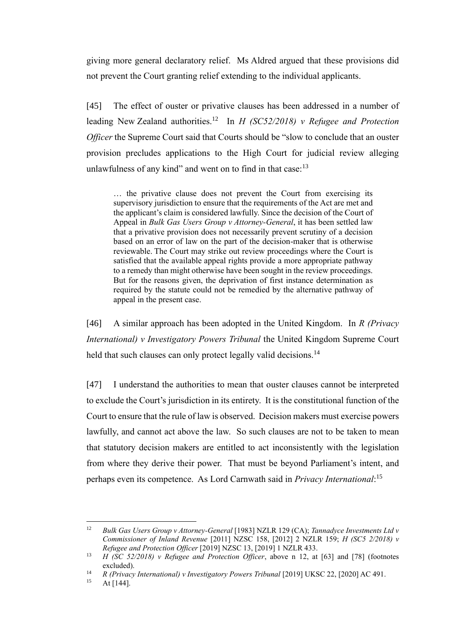giving more general declaratory relief. Ms Aldred argued that these provisions did not prevent the Court granting relief extending to the individual applicants.

[45] The effect of ouster or privative clauses has been addressed in a number of leading New Zealand authorities.<sup>12</sup> In *H (SC52/2018) v Refugee and Protection Officer* the Supreme Court said that Courts should be "slow to conclude that an ouster provision precludes applications to the High Court for judicial review alleging unlawfulness of any kind" and went on to find in that case:<sup>13</sup>

<span id="page-13-0"></span>… the privative clause does not prevent the Court from exercising its supervisory jurisdiction to ensure that the requirements of the Act are met and the applicant's claim is considered lawfully. Since the decision of the Court of Appeal in *Bulk Gas Users Group v Attorney-General*, it has been settled law that a privative provision does not necessarily prevent scrutiny of a decision based on an error of law on the part of the decision-maker that is otherwise reviewable. The Court may strike out review proceedings where the Court is satisfied that the available appeal rights provide a more appropriate pathway to a remedy than might otherwise have been sought in the review proceedings. But for the reasons given, the deprivation of first instance determination as required by the statute could not be remedied by the alternative pathway of appeal in the present case.

[46] A similar approach has been adopted in the United Kingdom. In *R (Privacy International) v Investigatory Powers Tribunal* the United Kingdom Supreme Court held that such clauses can only protect legally valid decisions.<sup>14</sup>

[47] I understand the authorities to mean that ouster clauses cannot be interpreted to exclude the Court's jurisdiction in its entirety. It is the constitutional function of the Court to ensure that the rule of law is observed. Decision makers must exercise powers lawfully, and cannot act above the law. So such clauses are not to be taken to mean that statutory decision makers are entitled to act inconsistently with the legislation from where they derive their power. That must be beyond Parliament's intent, and perhaps even its competence. As Lord Carnwath said in *Privacy International*: 15

<sup>12</sup> *Bulk Gas Users Group v Attorney-General* [1983] NZLR 129 (CA); *Tannadyce Investments Ltd v Commissioner of Inland Revenue* [2011] NZSC 158, [2012] 2 NZLR 159; *H (SC5 2/2018) v Refugee and Protection Officer* [2019] NZSC 13, [2019] 1 NZLR 433.

<sup>13</sup> *H (SC 52/2018) v Refugee and Protection Officer*, above n [12,](#page-13-0) at [63] and [78] (footnotes excluded).

<sup>&</sup>lt;sup>14</sup> *R (Privacy International) v Investigatory Powers Tribunal* [2019] UKSC 22, [2020] AC 491.<br><sup>15</sup> **At [144]** 

At  $[144]$ .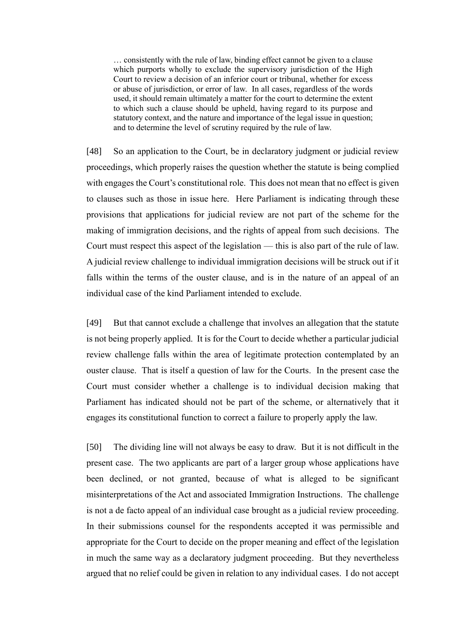… consistently with the rule of law, binding effect cannot be given to a clause which purports wholly to exclude the supervisory jurisdiction of the High Court to review a decision of an inferior court or tribunal, whether for excess or abuse of jurisdiction, or error of law. In all cases, regardless of the words used, it should remain ultimately a matter for the court to determine the extent to which such a clause should be upheld, having regard to its purpose and statutory context, and the nature and importance of the legal issue in question; and to determine the level of scrutiny required by the rule of law.

[48] So an application to the Court, be in declaratory judgment or judicial review proceedings, which properly raises the question whether the statute is being complied with engages the Court's constitutional role. This does not mean that no effect is given to clauses such as those in issue here. Here Parliament is indicating through these provisions that applications for judicial review are not part of the scheme for the making of immigration decisions, and the rights of appeal from such decisions. The Court must respect this aspect of the legislation — this is also part of the rule of law. A judicial review challenge to individual immigration decisions will be struck out if it falls within the terms of the ouster clause, and is in the nature of an appeal of an individual case of the kind Parliament intended to exclude.

[49] But that cannot exclude a challenge that involves an allegation that the statute is not being properly applied. It is for the Court to decide whether a particular judicial review challenge falls within the area of legitimate protection contemplated by an ouster clause. That is itself a question of law for the Courts. In the present case the Court must consider whether a challenge is to individual decision making that Parliament has indicated should not be part of the scheme, or alternatively that it engages its constitutional function to correct a failure to properly apply the law.

[50] The dividing line will not always be easy to draw. But it is not difficult in the present case. The two applicants are part of a larger group whose applications have been declined, or not granted, because of what is alleged to be significant misinterpretations of the Act and associated Immigration Instructions. The challenge is not a de facto appeal of an individual case brought as a judicial review proceeding. In their submissions counsel for the respondents accepted it was permissible and appropriate for the Court to decide on the proper meaning and effect of the legislation in much the same way as a declaratory judgment proceeding. But they nevertheless argued that no relief could be given in relation to any individual cases. I do not accept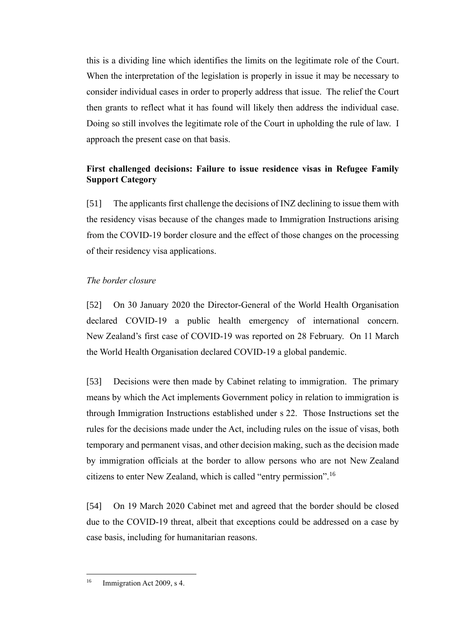this is a dividing line which identifies the limits on the legitimate role of the Court. When the interpretation of the legislation is properly in issue it may be necessary to consider individual cases in order to properly address that issue. The relief the Court then grants to reflect what it has found will likely then address the individual case. Doing so still involves the legitimate role of the Court in upholding the rule of law. I approach the present case on that basis.

# <span id="page-15-0"></span>**First challenged decisions: Failure to issue residence visas in Refugee Family Support Category**

[51] The applicants first challenge the decisions of INZ declining to issue them with the residency visas because of the changes made to Immigration Instructions arising from the COVID-19 border closure and the effect of those changes on the processing of their residency visa applications.

## <span id="page-15-1"></span>*The border closure*

[52] On 30 January 2020 the Director-General of the World Health Organisation declared COVID-19 a public health emergency of international concern. New Zealand's first case of COVID-19 was reported on 28 February. On 11 March the World Health Organisation declared COVID-19 a global pandemic.

[53] Decisions were then made by Cabinet relating to immigration. The primary means by which the Act implements Government policy in relation to immigration is through Immigration Instructions established under s 22. Those Instructions set the rules for the decisions made under the Act, including rules on the issue of visas, both temporary and permanent visas, and other decision making, such as the decision made by immigration officials at the border to allow persons who are not New Zealand citizens to enter New Zealand, which is called "entry permission".<sup>16</sup>

[54] On 19 March 2020 Cabinet met and agreed that the border should be closed due to the COVID-19 threat, albeit that exceptions could be addressed on a case by case basis, including for humanitarian reasons.

<sup>&</sup>lt;sup>16</sup> Immigration Act 2009, s 4.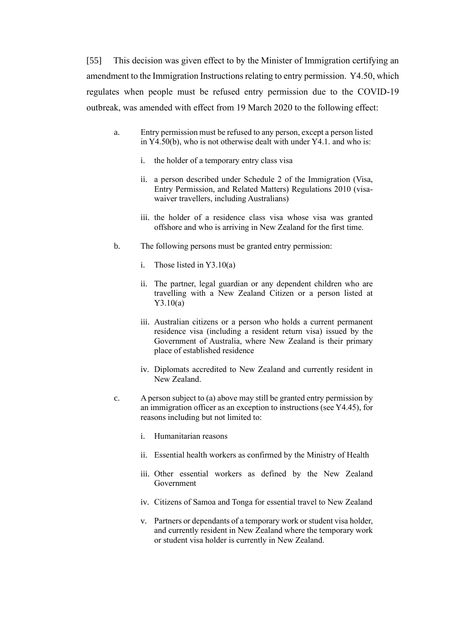<span id="page-16-0"></span>[55] This decision was given effect to by the Minister of Immigration certifying an amendment to the Immigration Instructions relating to entry permission. Y4.50, which regulates when people must be refused entry permission due to the COVID-19 outbreak, was amended with effect from 19 March 2020 to the following effect:

- a. Entry permission must be refused to any person, except a person listed in Y4.50(b), who is not otherwise dealt with under Y4.1. and who is:
	- i. the holder of a temporary entry class visa
	- ii. a person described under Schedule 2 of the Immigration (Visa, Entry Permission, and Related Matters) Regulations 2010 (visawaiver travellers, including Australians)
	- iii. the holder of a residence class visa whose visa was granted offshore and who is arriving in New Zealand for the first time.
- b. The following persons must be granted entry permission:
	- i. Those listed in Y3.10(a)
	- ii. The partner, legal guardian or any dependent children who are travelling with a New Zealand Citizen or a person listed at Y3.10(a)
	- iii. Australian citizens or a person who holds a current permanent residence visa (including a resident return visa) issued by the Government of Australia, where New Zealand is their primary place of established residence
	- iv. Diplomats accredited to New Zealand and currently resident in New Zealand.
- c. A person subject to (a) above may still be granted entry permission by an immigration officer as an exception to instructions (see Y4.45), for reasons including but not limited to:
	- i. Humanitarian reasons
	- ii. Essential health workers as confirmed by the Ministry of Health
	- iii. Other essential workers as defined by the New Zealand Government
	- iv. Citizens of Samoa and Tonga for essential travel to New Zealand
	- v. Partners or dependants of a temporary work or student visa holder, and currently resident in New Zealand where the temporary work or student visa holder is currently in New Zealand.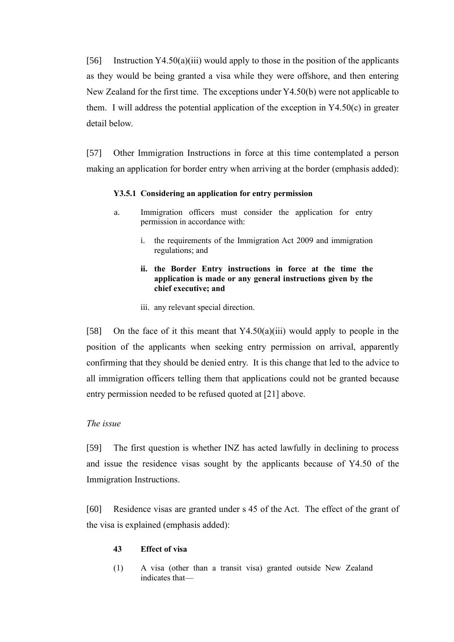[56] Instruction  $Y4.50(a)(iii)$  would apply to those in the position of the applicants as they would be being granted a visa while they were offshore, and then entering New Zealand for the first time. The exceptions under Y4.50(b) were not applicable to them. I will address the potential application of the exception in  $Y4.50(c)$  in greater detail below.

[57] Other Immigration Instructions in force at this time contemplated a person making an application for border entry when arriving at the border (emphasis added):

#### **Y3.5.1 Considering an application for entry permission**

- a. Immigration officers must consider the application for entry permission in accordance with:
	- i. the requirements of the Immigration Act 2009 and immigration regulations; and
	- **ii. the Border Entry instructions in force at the time the application is made or any general instructions given by the chief executive; and**
	- iii. any relevant special direction.

[58] On the face of it this meant that Y4.50(a)(iii) would apply to people in the position of the applicants when seeking entry permission on arrival, apparently confirming that they should be denied entry. It is this change that led to the advice to all immigration officers telling them that applications could not be granted because entry permission needed to be refused quoted at [\[21\]](#page-5-1) above.

### <span id="page-17-0"></span>*The issue*

[59] The first question is whether INZ has acted lawfully in declining to process and issue the residence visas sought by the applicants because of Y4.50 of the Immigration Instructions.

[60] Residence visas are granted under s 45 of the Act. The effect of the grant of the visa is explained (emphasis added):

#### **43 Effect of visa**

(1) A visa (other than a transit visa) granted outside New Zealand indicates that—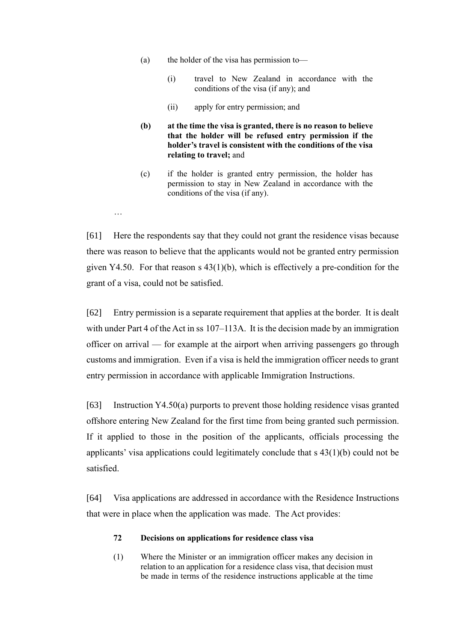- (a) the holder of the visa has permission to—
	- (i) travel to New Zealand in accordance with the conditions of the visa (if any); and
	- (ii) apply for entry permission; and
- **(b) at the time the visa is granted, there is no reason to believe that the holder will be refused entry permission if the holder's travel is consistent with the conditions of the visa relating to travel;** and
- (c) if the holder is granted entry permission, the holder has permission to stay in New Zealand in accordance with the conditions of the visa (if any).
- [61] Here the respondents say that they could not grant the residence visas because there was reason to believe that the applicants would not be granted entry permission given Y4.50. For that reason s 43(1)(b), which is effectively a pre-condition for the grant of a visa, could not be satisfied.

…

[62] Entry permission is a separate requirement that applies at the border. It is dealt with under Part 4 of the Act in ss 107–113A. It is the decision made by an immigration officer on arrival — for example at the airport when arriving passengers go through customs and immigration. Even if a visa is held the immigration officer needs to grant entry permission in accordance with applicable Immigration Instructions.

[63] Instruction Y4.50(a) purports to prevent those holding residence visas granted offshore entering New Zealand for the first time from being granted such permission. If it applied to those in the position of the applicants, officials processing the applicants' visa applications could legitimately conclude that s 43(1)(b) could not be satisfied.

[64] Visa applications are addressed in accordance with the Residence Instructions that were in place when the application was made. The Act provides:

#### **72 Decisions on applications for residence class visa**

(1) Where the Minister or an immigration officer makes any decision in relation to an application for a residence class visa, that decision must be made in terms of the residence instructions applicable at the time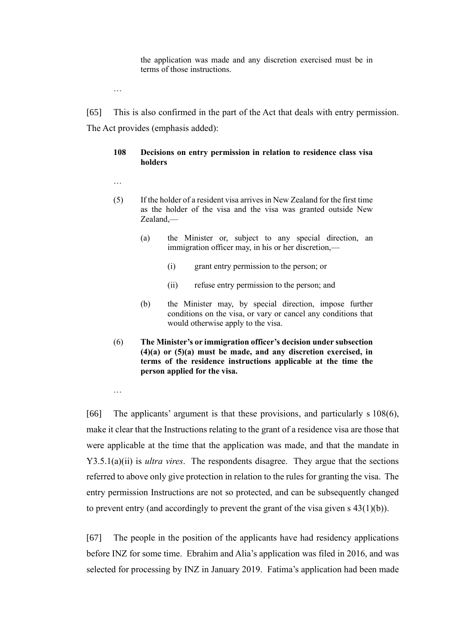the application was made and any discretion exercised must be in terms of those instructions.

…

[65] This is also confirmed in the part of the Act that deals with entry permission. The Act provides (emphasis added):

### **108 Decisions on entry permission in relation to residence class visa holders**

- …
- (5) If the holder of a resident visa arrives in New Zealand for the first time as the holder of the visa and the visa was granted outside New Zealand,—
	- (a) the Minister or, subject to any special direction, an immigration officer may, in his or her discretion,—
		- (i) grant entry permission to the person; or
		- (ii) refuse entry permission to the person; and
	- (b) the Minister may, by special direction, impose further conditions on the visa, or vary or cancel any conditions that would otherwise apply to the visa.
- (6) **The Minister's or immigration officer's decision under subsection (4)(a) or (5)(a) must be made, and any discretion exercised, in terms of the residence instructions applicable at the time the person applied for the visa.**

…

[66] The applicants' argument is that these provisions, and particularly s 108(6), make it clear that the Instructions relating to the grant of a residence visa are those that were applicable at the time that the application was made, and that the mandate in Y3.5.1(a)(ii) is *ultra vires*. The respondents disagree. They argue that the sections referred to above only give protection in relation to the rules for granting the visa. The entry permission Instructions are not so protected, and can be subsequently changed to prevent entry (and accordingly to prevent the grant of the visa given s 43(1)(b)).

[67] The people in the position of the applicants have had residency applications before INZ for some time. Ebrahim and Alia's application was filed in 2016, and was selected for processing by INZ in January 2019. Fatima's application had been made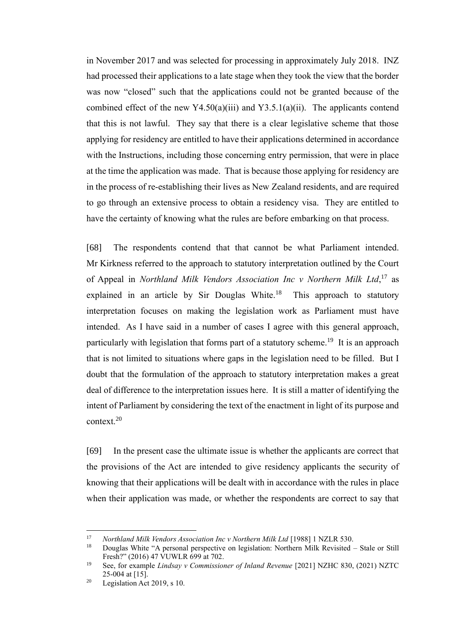in November 2017 and was selected for processing in approximately July 2018. INZ had processed their applications to a late stage when they took the view that the border was now "closed" such that the applications could not be granted because of the combined effect of the new Y4.50(a)(iii) and Y3.5.1(a)(ii). The applicants contend that this is not lawful. They say that there is a clear legislative scheme that those applying for residency are entitled to have their applications determined in accordance with the Instructions, including those concerning entry permission, that were in place at the time the application was made. That is because those applying for residency are in the process of re-establishing their lives as New Zealand residents, and are required to go through an extensive process to obtain a residency visa. They are entitled to have the certainty of knowing what the rules are before embarking on that process.

[68] The respondents contend that that cannot be what Parliament intended. Mr Kirkness referred to the approach to statutory interpretation outlined by the Court of Appeal in *Northland Milk Vendors Association Inc v Northern Milk Ltd*, <sup>17</sup> as explained in an article by Sir Douglas White. $18$  This approach to statutory interpretation focuses on making the legislation work as Parliament must have intended. As I have said in a number of cases I agree with this general approach, particularly with legislation that forms part of a statutory scheme.<sup>19</sup> It is an approach that is not limited to situations where gaps in the legislation need to be filled. But I doubt that the formulation of the approach to statutory interpretation makes a great deal of difference to the interpretation issues here. It is still a matter of identifying the intent of Parliament by considering the text of the enactment in light of its purpose and context.<sup>20</sup>

[69] In the present case the ultimate issue is whether the applicants are correct that the provisions of the Act are intended to give residency applicants the security of knowing that their applications will be dealt with in accordance with the rules in place when their application was made, or whether the respondents are correct to say that

<sup>&</sup>lt;sup>17</sup> *Northland Milk Vendors Association Inc v Northern Milk Ltd* [1988] 1 NZLR 530.<br><sup>18</sup> Douglas White "A personal perspective on legislation: Northern Milk Peyisited

<sup>18</sup> Douglas White "A personal perspective on legislation: Northern Milk Revisited – Stale or Still Fresh?" (2016) 47 VUWLR 699 at 702.

<sup>19</sup> See, for example *Lindsay v Commissioner of Inland Revenue* [2021] NZHC 830, (2021) NZTC 25-004 at [15].

<sup>&</sup>lt;sup>20</sup> Legislation Act 2019, s 10.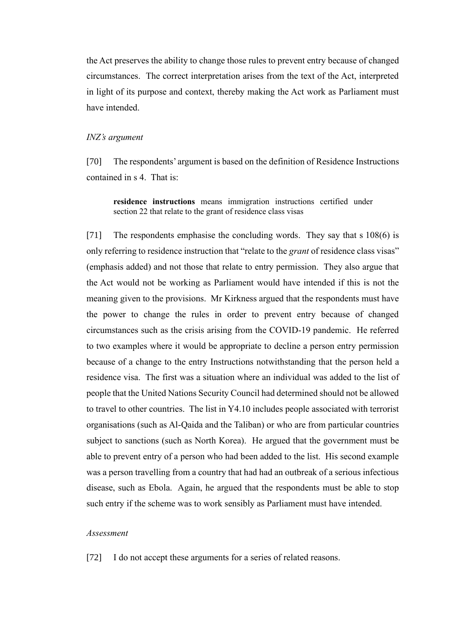the Act preserves the ability to change those rules to prevent entry because of changed circumstances. The correct interpretation arises from the text of the Act, interpreted in light of its purpose and context, thereby making the Act work as Parliament must have intended.

### <span id="page-21-0"></span>*INZ's argument*

[70] The respondents' argument is based on the definition of Residence Instructions contained in s 4. That is:

**residence instructions** means immigration instructions certified under section 22 that relate to the grant of residence class visas

[71] The respondents emphasise the concluding words. They say that s 108(6) is only referring to residence instruction that "relate to the *grant* of residence class visas" (emphasis added) and not those that relate to entry permission. They also argue that the Act would not be working as Parliament would have intended if this is not the meaning given to the provisions. Mr Kirkness argued that the respondents must have the power to change the rules in order to prevent entry because of changed circumstances such as the crisis arising from the COVID-19 pandemic. He referred to two examples where it would be appropriate to decline a person entry permission because of a change to the entry Instructions notwithstanding that the person held a residence visa. The first was a situation where an individual was added to the list of people that the United Nations Security Council had determined should not be allowed to travel to other countries. The list in Y4.10 includes people associated with terrorist organisations (such as Al-Qaida and the Taliban) or who are from particular countries subject to sanctions (such as North Korea). He argued that the government must be able to prevent entry of a person who had been added to the list. His second example was a person travelling from a country that had had an outbreak of a serious infectious disease, such as Ebola. Again, he argued that the respondents must be able to stop such entry if the scheme was to work sensibly as Parliament must have intended.

### <span id="page-21-1"></span>*Assessment*

[72] I do not accept these arguments for a series of related reasons.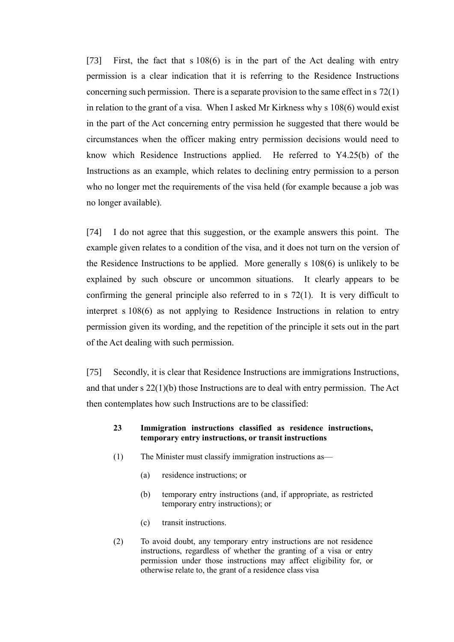[73] First, the fact that s 108(6) is in the part of the Act dealing with entry permission is a clear indication that it is referring to the Residence Instructions concerning such permission. There is a separate provision to the same effect in s 72(1) in relation to the grant of a visa. When I asked Mr Kirkness why s 108(6) would exist in the part of the Act concerning entry permission he suggested that there would be circumstances when the officer making entry permission decisions would need to know which Residence Instructions applied. He referred to Y4.25(b) of the Instructions as an example, which relates to declining entry permission to a person who no longer met the requirements of the visa held (for example because a job was no longer available).

[74] I do not agree that this suggestion, or the example answers this point. The example given relates to a condition of the visa, and it does not turn on the version of the Residence Instructions to be applied. More generally s 108(6) is unlikely to be explained by such obscure or uncommon situations. It clearly appears to be confirming the general principle also referred to in s 72(1). It is very difficult to interpret s 108(6) as not applying to Residence Instructions in relation to entry permission given its wording, and the repetition of the principle it sets out in the part of the Act dealing with such permission.

[75] Secondly, it is clear that Residence Instructions are immigrations Instructions, and that under s  $22(1)(b)$  those Instructions are to deal with entry permission. The Act then contemplates how such Instructions are to be classified:

#### **23 Immigration instructions classified as residence instructions, temporary entry instructions, or transit instructions**

- (1) The Minister must classify immigration instructions as—
	- (a) residence instructions; or
	- (b) temporary entry instructions (and, if appropriate, as restricted temporary entry instructions); or
	- (c) transit instructions.
- (2) To avoid doubt, any temporary entry instructions are not residence instructions, regardless of whether the granting of a visa or entry permission under those instructions may affect eligibility for, or otherwise relate to, the grant of a residence class visa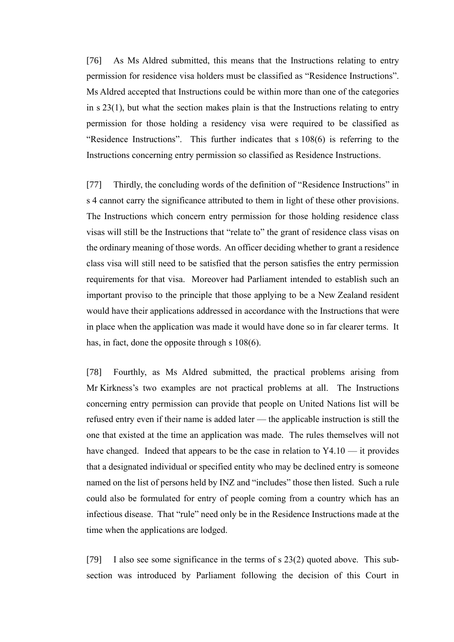[76] As Ms Aldred submitted, this means that the Instructions relating to entry permission for residence visa holders must be classified as "Residence Instructions". Ms Aldred accepted that Instructions could be within more than one of the categories in s 23(1), but what the section makes plain is that the Instructions relating to entry permission for those holding a residency visa were required to be classified as "Residence Instructions". This further indicates that s 108(6) is referring to the Instructions concerning entry permission so classified as Residence Instructions.

[77] Thirdly, the concluding words of the definition of "Residence Instructions" in s 4 cannot carry the significance attributed to them in light of these other provisions. The Instructions which concern entry permission for those holding residence class visas will still be the Instructions that "relate to" the grant of residence class visas on the ordinary meaning of those words. An officer deciding whether to grant a residence class visa will still need to be satisfied that the person satisfies the entry permission requirements for that visa. Moreover had Parliament intended to establish such an important proviso to the principle that those applying to be a New Zealand resident would have their applications addressed in accordance with the Instructions that were in place when the application was made it would have done so in far clearer terms. It has, in fact, done the opposite through s 108(6).

[78] Fourthly, as Ms Aldred submitted, the practical problems arising from Mr Kirkness's two examples are not practical problems at all. The Instructions concerning entry permission can provide that people on United Nations list will be refused entry even if their name is added later — the applicable instruction is still the one that existed at the time an application was made. The rules themselves will not have changed. Indeed that appears to be the case in relation to  $Y4.10 - i$ t provides that a designated individual or specified entity who may be declined entry is someone named on the list of persons held by INZ and "includes" those then listed. Such a rule could also be formulated for entry of people coming from a country which has an infectious disease. That "rule" need only be in the Residence Instructions made at the time when the applications are lodged.

[79] I also see some significance in the terms of s 23(2) quoted above. This subsection was introduced by Parliament following the decision of this Court in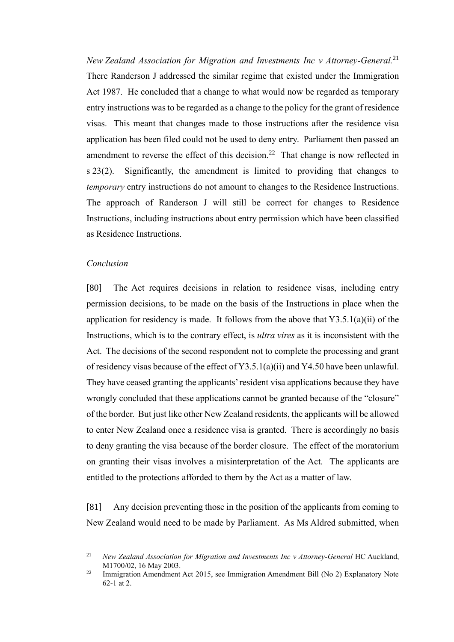<span id="page-24-1"></span>*New Zealand Association for Migration and Investments Inc v Attorney-General.* 21 There Randerson J addressed the similar regime that existed under the Immigration Act 1987. He concluded that a change to what would now be regarded as temporary entry instructions was to be regarded as a change to the policy for the grant of residence visas. This meant that changes made to those instructions after the residence visa application has been filed could not be used to deny entry. Parliament then passed an amendment to reverse the effect of this decision.<sup>22</sup> That change is now reflected in s 23(2). Significantly, the amendment is limited to providing that changes to *temporary* entry instructions do not amount to changes to the Residence Instructions. The approach of Randerson J will still be correct for changes to Residence Instructions, including instructions about entry permission which have been classified as Residence Instructions.

### <span id="page-24-0"></span>*Conclusion*

[80] The Act requires decisions in relation to residence visas, including entry permission decisions, to be made on the basis of the Instructions in place when the application for residency is made. It follows from the above that  $Y3.5.1(a)(ii)$  of the Instructions, which is to the contrary effect, is *ultra vires* as it is inconsistent with the Act. The decisions of the second respondent not to complete the processing and grant of residency visas because of the effect of Y3.5.1(a)(ii) and Y4.50 have been unlawful. They have ceased granting the applicants' resident visa applications because they have wrongly concluded that these applications cannot be granted because of the "closure" of the border. But just like other New Zealand residents, the applicants will be allowed to enter New Zealand once a residence visa is granted. There is accordingly no basis to deny granting the visa because of the border closure. The effect of the moratorium on granting their visas involves a misinterpretation of the Act. The applicants are entitled to the protections afforded to them by the Act as a matter of law.

[81] Any decision preventing those in the position of the applicants from coming to New Zealand would need to be made by Parliament. As Ms Aldred submitted, when

<sup>&</sup>lt;sup>21</sup> *New Zealand Association for Migration and Investments Inc v Attorney-General HC Auckland,* M1700/02, 16 May 2003.

<sup>&</sup>lt;sup>22</sup> Immigration Amendment Act 2015, see Immigration Amendment Bill (No 2) Explanatory Note 62-1 at 2.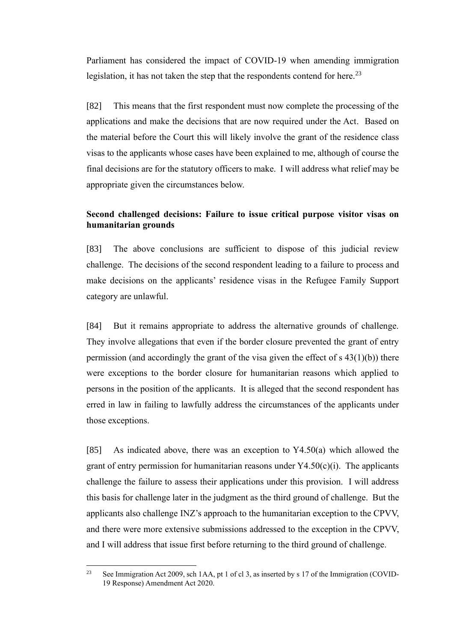Parliament has considered the impact of COVID-19 when amending immigration legislation, it has not taken the step that the respondents contend for here.<sup>23</sup>

[82] This means that the first respondent must now complete the processing of the applications and make the decisions that are now required under the Act. Based on the material before the Court this will likely involve the grant of the residence class visas to the applicants whose cases have been explained to me, although of course the final decisions are for the statutory officers to make. I will address what relief may be appropriate given the circumstances below.

## <span id="page-25-0"></span>**Second challenged decisions: Failure to issue critical purpose visitor visas on humanitarian grounds**

[83] The above conclusions are sufficient to dispose of this judicial review challenge. The decisions of the second respondent leading to a failure to process and make decisions on the applicants' residence visas in the Refugee Family Support category are unlawful.

[84] But it remains appropriate to address the alternative grounds of challenge. They involve allegations that even if the border closure prevented the grant of entry permission (and accordingly the grant of the visa given the effect of  $s(43(1)(b))$ ) there were exceptions to the border closure for humanitarian reasons which applied to persons in the position of the applicants. It is alleged that the second respondent has erred in law in failing to lawfully address the circumstances of the applicants under those exceptions.

[85] As indicated above, there was an exception to Y4.50(a) which allowed the grant of entry permission for humanitarian reasons under  $Y4.50(c)(i)$ . The applicants challenge the failure to assess their applications under this provision. I will address this basis for challenge later in the judgment as the third ground of challenge. But the applicants also challenge INZ's approach to the humanitarian exception to the CPVV, and there were more extensive submissions addressed to the exception in the CPVV, and I will address that issue first before returning to the third ground of challenge.

<sup>&</sup>lt;sup>23</sup> See Immigration Act 2009, sch 1AA, pt 1 of cl 3, as inserted by s 17 of the Immigration (COVID-19 Response) Amendment Act 2020.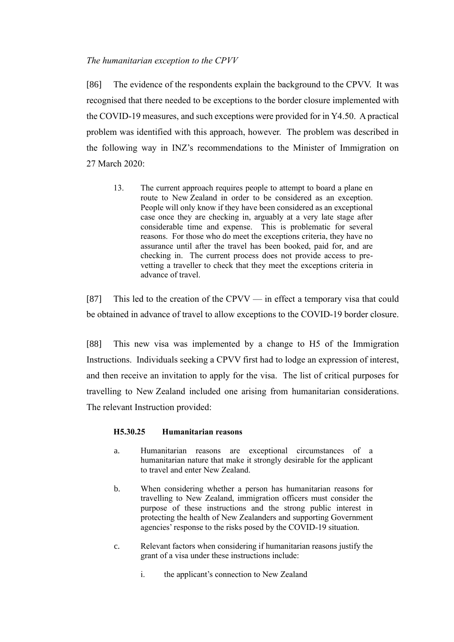### <span id="page-26-0"></span>*The humanitarian exception to the CPVV*

[86] The evidence of the respondents explain the background to the CPVV. It was recognised that there needed to be exceptions to the border closure implemented with the COVID-19 measures, and such exceptions were provided for in Y4.50. A practical problem was identified with this approach, however. The problem was described in the following way in INZ's recommendations to the Minister of Immigration on 27 March 2020:

13. The current approach requires people to attempt to board a plane en route to New Zealand in order to be considered as an exception. People will only know if they have been considered as an exceptional case once they are checking in, arguably at a very late stage after considerable time and expense. This is problematic for several reasons. For those who do meet the exceptions criteria, they have no assurance until after the travel has been booked, paid for, and are checking in. The current process does not provide access to prevetting a traveller to check that they meet the exceptions criteria in advance of travel.

[87] This led to the creation of the CPVV — in effect a temporary visa that could be obtained in advance of travel to allow exceptions to the COVID-19 border closure.

[88] This new visa was implemented by a change to H5 of the Immigration Instructions. Individuals seeking a CPVV first had to lodge an expression of interest, and then receive an invitation to apply for the visa. The list of critical purposes for travelling to New Zealand included one arising from humanitarian considerations. The relevant Instruction provided:

### **H5.30.25 Humanitarian reasons**

- a. Humanitarian reasons are exceptional circumstances of a humanitarian nature that make it strongly desirable for the applicant to travel and enter New Zealand.
- b. When considering whether a person has humanitarian reasons for travelling to New Zealand, immigration officers must consider the purpose of these instructions and the strong public interest in protecting the health of New Zealanders and supporting Government agencies' response to the risks posed by the COVID-19 situation.
- c. Relevant factors when considering if humanitarian reasons justify the grant of a visa under these instructions include:
	- i. the applicant's connection to New Zealand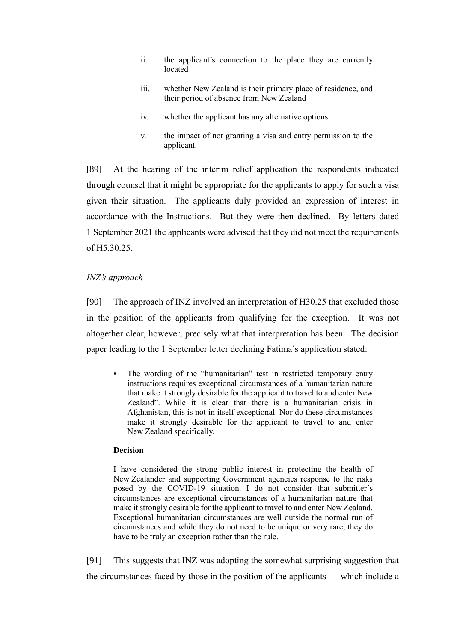- ii. the applicant's connection to the place they are currently located
- iii. whether New Zealand is their primary place of residence, and their period of absence from New Zealand
- iv. whether the applicant has any alternative options
- v. the impact of not granting a visa and entry permission to the applicant.

[89] At the hearing of the interim relief application the respondents indicated through counsel that it might be appropriate for the applicants to apply for such a visa given their situation. The applicants duly provided an expression of interest in accordance with the Instructions. But they were then declined. By letters dated 1 September 2021 the applicants were advised that they did not meet the requirements of H5.30.25.

## <span id="page-27-0"></span>*INZ's approach*

[90] The approach of INZ involved an interpretation of H30.25 that excluded those in the position of the applicants from qualifying for the exception. It was not altogether clear, however, precisely what that interpretation has been. The decision paper leading to the 1 September letter declining Fatima's application stated:

The wording of the "humanitarian" test in restricted temporary entry instructions requires exceptional circumstances of a humanitarian nature that make it strongly desirable for the applicant to travel to and enter New Zealand". While it is clear that there is a humanitarian crisis in Afghanistan, this is not in itself exceptional. Nor do these circumstances make it strongly desirable for the applicant to travel to and enter New Zealand specifically.

### **Decision**

I have considered the strong public interest in protecting the health of New Zealander and supporting Government agencies response to the risks posed by the COVID-19 situation. I do not consider that submitter's circumstances are exceptional circumstances of a humanitarian nature that make it strongly desirable for the applicant to travel to and enter New Zealand. Exceptional humanitarian circumstances are well outside the normal run of circumstances and while they do not need to be unique or very rare, they do have to be truly an exception rather than the rule.

[91] This suggests that INZ was adopting the somewhat surprising suggestion that the circumstances faced by those in the position of the applicants — which include a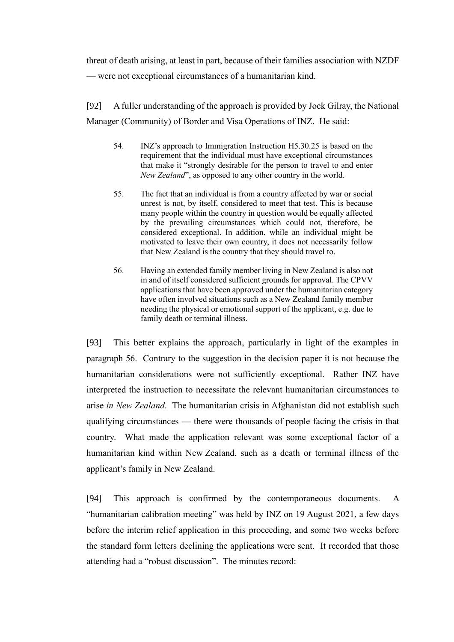threat of death arising, at least in part, because of their families association with NZDF — were not exceptional circumstances of a humanitarian kind.

[92] A fuller understanding of the approach is provided by Jock Gilray, the National Manager (Community) of Border and Visa Operations of INZ. He said:

- 54. INZ's approach to Immigration Instruction H5.30.25 is based on the requirement that the individual must have exceptional circumstances that make it "strongly desirable for the person to travel to and enter *New Zealand*", as opposed to any other country in the world.
- 55. The fact that an individual is from a country affected by war or social unrest is not, by itself, considered to meet that test. This is because many people within the country in question would be equally affected by the prevailing circumstances which could not, therefore, be considered exceptional. In addition, while an individual might be motivated to leave their own country, it does not necessarily follow that New Zealand is the country that they should travel to.
- 56. Having an extended family member living in New Zealand is also not in and of itself considered sufficient grounds for approval. The CPVV applications that have been approved under the humanitarian category have often involved situations such as a New Zealand family member needing the physical or emotional support of the applicant, e.g. due to family death or terminal illness.

[93] This better explains the approach, particularly in light of the examples in paragraph 56. Contrary to the suggestion in the decision paper it is not because the humanitarian considerations were not sufficiently exceptional. Rather INZ have interpreted the instruction to necessitate the relevant humanitarian circumstances to arise *in New Zealand*. The humanitarian crisis in Afghanistan did not establish such qualifying circumstances — there were thousands of people facing the crisis in that country. What made the application relevant was some exceptional factor of a humanitarian kind within New Zealand, such as a death or terminal illness of the applicant's family in New Zealand.

[94] This approach is confirmed by the contemporaneous documents. A "humanitarian calibration meeting" was held by INZ on 19 August 2021, a few days before the interim relief application in this proceeding, and some two weeks before the standard form letters declining the applications were sent. It recorded that those attending had a "robust discussion". The minutes record: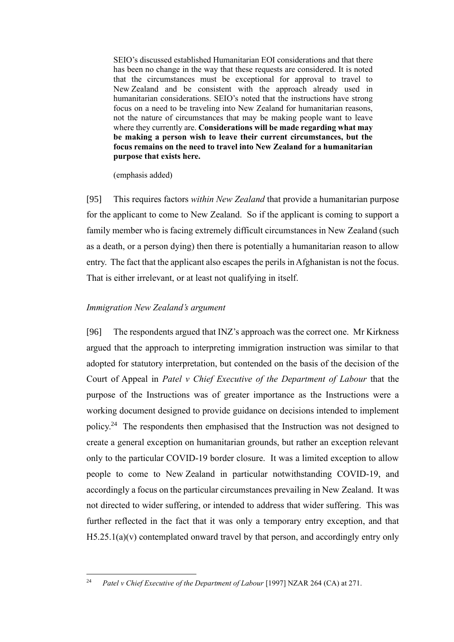SEIO's discussed established Humanitarian EOI considerations and that there has been no change in the way that these requests are considered. It is noted that the circumstances must be exceptional for approval to travel to New Zealand and be consistent with the approach already used in humanitarian considerations. SEIO's noted that the instructions have strong focus on a need to be traveling into New Zealand for humanitarian reasons, not the nature of circumstances that may be making people want to leave where they currently are. **Considerations will be made regarding what may be making a person wish to leave their current circumstances, but the focus remains on the need to travel into New Zealand for a humanitarian purpose that exists here.**

(emphasis added)

[95] This requires factors *within New Zealand* that provide a humanitarian purpose for the applicant to come to New Zealand. So if the applicant is coming to support a family member who is facing extremely difficult circumstances in New Zealand (such as a death, or a person dying) then there is potentially a humanitarian reason to allow entry. The fact that the applicant also escapes the perils in Afghanistan is not the focus. That is either irrelevant, or at least not qualifying in itself.

### <span id="page-29-0"></span>*Immigration New Zealand's argument*

[96] The respondents argued that INZ's approach was the correct one. Mr Kirkness argued that the approach to interpreting immigration instruction was similar to that adopted for statutory interpretation, but contended on the basis of the decision of the Court of Appeal in *Patel v Chief Executive of the Department of Labour* that the purpose of the Instructions was of greater importance as the Instructions were a working document designed to provide guidance on decisions intended to implement policy.<sup>24</sup> The respondents then emphasised that the Instruction was not designed to create a general exception on humanitarian grounds, but rather an exception relevant only to the particular COVID-19 border closure. It was a limited exception to allow people to come to New Zealand in particular notwithstanding COVID-19, and accordingly a focus on the particular circumstances prevailing in New Zealand. It was not directed to wider suffering, or intended to address that wider suffering. This was further reflected in the fact that it was only a temporary entry exception, and that  $H5.25.1(a)(v)$  contemplated onward travel by that person, and accordingly entry only

<sup>&</sup>lt;sup>24</sup> *Patel v Chief Executive of the Department of Labour* [1997] NZAR 264 (CA) at 271.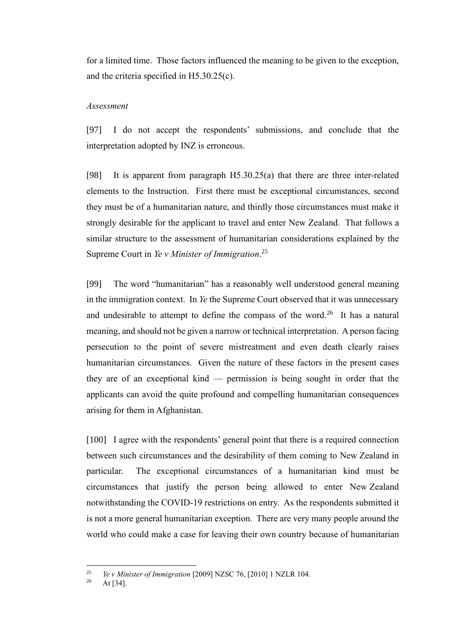for a limited time. Those factors influenced the meaning to be given to the exception, and the criteria specified in H5.30.25(c).

#### <span id="page-30-0"></span>*Assessment*

[97] I do not accept the respondents' submissions, and conclude that the interpretation adopted by INZ is erroneous.

[98] It is apparent from paragraph H5.30.25(a) that there are three inter-related elements to the Instruction. First there must be exceptional circumstances, second they must be of a humanitarian nature, and thirdly those circumstances must make it strongly desirable for the applicant to travel and enter New Zealand. That follows a similar structure to the assessment of humanitarian considerations explained by the Supreme Court in *Ye v Minister of Immigration*. 25

[99] The word "humanitarian" has a reasonably well understood general meaning in the immigration context. In *Ye* the Supreme Court observed that it was unnecessary and undesirable to attempt to define the compass of the word.<sup>26</sup> It has a natural meaning, and should not be given a narrow or technical interpretation. A person facing persecution to the point of severe mistreatment and even death clearly raises humanitarian circumstances. Given the nature of these factors in the present cases they are of an exceptional kind — permission is being sought in order that the applicants can avoid the quite profound and compelling humanitarian consequences arising for them in Afghanistan.

[100] I agree with the respondents' general point that there is a required connection between such circumstances and the desirability of them coming to New Zealand in particular. The exceptional circumstances of a humanitarian kind must be circumstances that justify the person being allowed to enter New Zealand notwithstanding the COVID-19 restrictions on entry. As the respondents submitted it is not a more general humanitarian exception. There are very many people around the world who could make a case for leaving their own country because of humanitarian

<sup>25</sup> *Ye v Minister of Immigration* [2009] NZSC 76, [2010] 1 NZLR 104.

At  $[34]$ .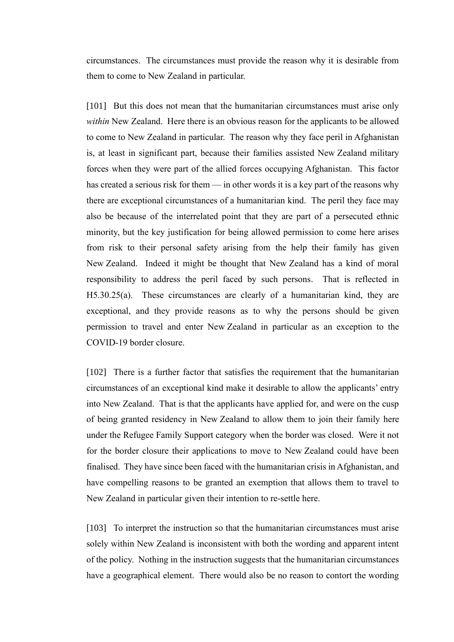circumstances. The circumstances must provide the reason why it is desirable from them to come to New Zealand in particular.

[101] But this does not mean that the humanitarian circumstances must arise only *within* New Zealand. Here there is an obvious reason for the applicants to be allowed to come to New Zealand in particular. The reason why they face peril in Afghanistan is, at least in significant part, because their families assisted New Zealand military forces when they were part of the allied forces occupying Afghanistan. This factor has created a serious risk for them — in other words it is a key part of the reasons why there are exceptional circumstances of a humanitarian kind. The peril they face may also be because of the interrelated point that they are part of a persecuted ethnic minority, but the key justification for being allowed permission to come here arises from risk to their personal safety arising from the help their family has given New Zealand. Indeed it might be thought that New Zealand has a kind of moral responsibility to address the peril faced by such persons. That is reflected in H5.30.25(a). These circumstances are clearly of a humanitarian kind, they are exceptional, and they provide reasons as to why the persons should be given permission to travel and enter New Zealand in particular as an exception to the COVID-19 border closure.

[102] There is a further factor that satisfies the requirement that the humanitarian circumstances of an exceptional kind make it desirable to allow the applicants' entry into New Zealand. That is that the applicants have applied for, and were on the cusp of being granted residency in New Zealand to allow them to join their family here under the Refugee Family Support category when the border was closed. Were it not for the border closure their applications to move to New Zealand could have been finalised. They have since been faced with the humanitarian crisis in Afghanistan, and have compelling reasons to be granted an exemption that allows them to travel to New Zealand in particular given their intention to re-settle here.

[103] To interpret the instruction so that the humanitarian circumstances must arise solely within New Zealand is inconsistent with both the wording and apparent intent of the policy. Nothing in the instruction suggests that the humanitarian circumstances have a geographical element. There would also be no reason to contort the wording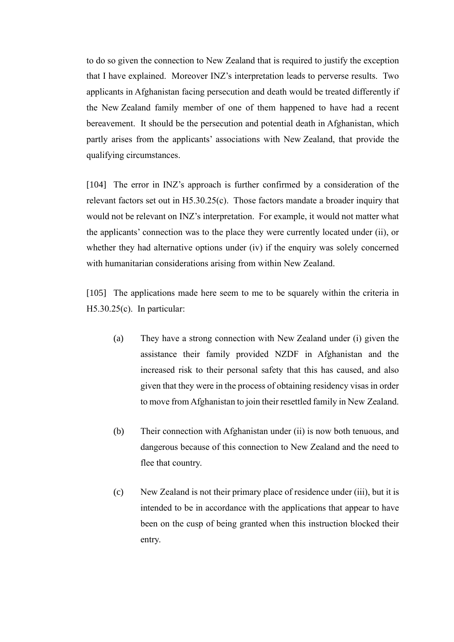to do so given the connection to New Zealand that is required to justify the exception that I have explained. Moreover INZ's interpretation leads to perverse results. Two applicants in Afghanistan facing persecution and death would be treated differently if the New Zealand family member of one of them happened to have had a recent bereavement. It should be the persecution and potential death in Afghanistan, which partly arises from the applicants' associations with New Zealand, that provide the qualifying circumstances.

[104] The error in INZ's approach is further confirmed by a consideration of the relevant factors set out in H5.30.25(c). Those factors mandate a broader inquiry that would not be relevant on INZ's interpretation. For example, it would not matter what the applicants' connection was to the place they were currently located under (ii), or whether they had alternative options under (iv) if the enquiry was solely concerned with humanitarian considerations arising from within New Zealand.

[105] The applications made here seem to me to be squarely within the criteria in H5.30.25(c). In particular:

- (a) They have a strong connection with New Zealand under (i) given the assistance their family provided NZDF in Afghanistan and the increased risk to their personal safety that this has caused, and also given that they were in the process of obtaining residency visas in order to move from Afghanistan to join their resettled family in New Zealand.
- (b) Their connection with Afghanistan under (ii) is now both tenuous, and dangerous because of this connection to New Zealand and the need to flee that country.
- (c) New Zealand is not their primary place of residence under (iii), but it is intended to be in accordance with the applications that appear to have been on the cusp of being granted when this instruction blocked their entry.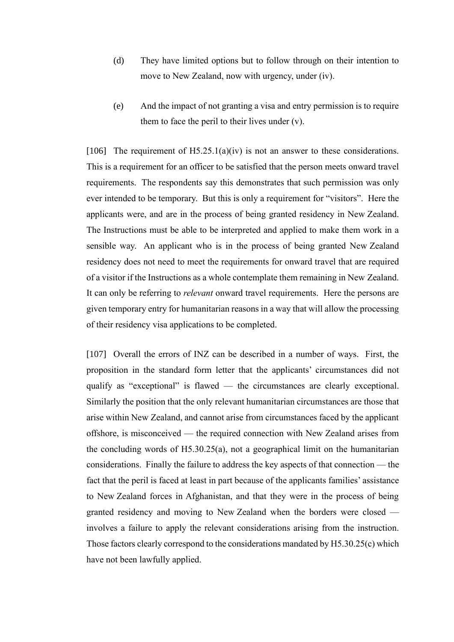- (d) They have limited options but to follow through on their intention to move to New Zealand, now with urgency, under (iv).
- (e) And the impact of not granting a visa and entry permission is to require them to face the peril to their lives under  $(v)$ .

[106] The requirement of  $H5.25.1(a)(iv)$  is not an answer to these considerations. This is a requirement for an officer to be satisfied that the person meets onward travel requirements. The respondents say this demonstrates that such permission was only ever intended to be temporary. But this is only a requirement for "visitors". Here the applicants were, and are in the process of being granted residency in New Zealand. The Instructions must be able to be interpreted and applied to make them work in a sensible way. An applicant who is in the process of being granted New Zealand residency does not need to meet the requirements for onward travel that are required of a visitor if the Instructions as a whole contemplate them remaining in New Zealand. It can only be referring to *relevant* onward travel requirements. Here the persons are given temporary entry for humanitarian reasons in a way that will allow the processing of their residency visa applications to be completed.

[107] Overall the errors of INZ can be described in a number of ways. First, the proposition in the standard form letter that the applicants' circumstances did not qualify as "exceptional" is flawed — the circumstances are clearly exceptional. Similarly the position that the only relevant humanitarian circumstances are those that arise within New Zealand, and cannot arise from circumstances faced by the applicant offshore, is misconceived — the required connection with New Zealand arises from the concluding words of H5.30.25(a), not a geographical limit on the humanitarian considerations. Finally the failure to address the key aspects of that connection — the fact that the peril is faced at least in part because of the applicants families' assistance to New Zealand forces in Afghanistan, and that they were in the process of being granted residency and moving to New Zealand when the borders were closed involves a failure to apply the relevant considerations arising from the instruction. Those factors clearly correspond to the considerations mandated by H5.30.25(c) which have not been lawfully applied.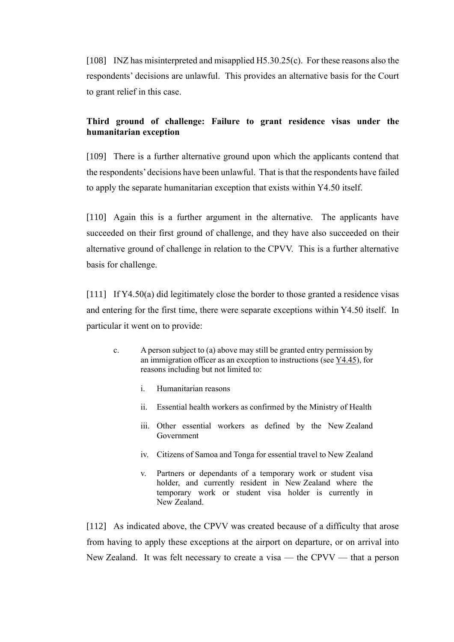[108] INZ has misinterpreted and misapplied H5.30.25(c). For these reasons also the respondents' decisions are unlawful. This provides an alternative basis for the Court to grant relief in this case.

## <span id="page-34-0"></span>**Third ground of challenge: Failure to grant residence visas under the humanitarian exception**

[109] There is a further alternative ground upon which the applicants contend that the respondents'decisions have been unlawful. That is that the respondents have failed to apply the separate humanitarian exception that exists within Y4.50 itself.

[110] Again this is a further argument in the alternative. The applicants have succeeded on their first ground of challenge, and they have also succeeded on their alternative ground of challenge in relation to the CPVV. This is a further alternative basis for challenge.

[111] If Y4.50(a) did legitimately close the border to those granted a residence visas and entering for the first time, there were separate exceptions within Y4.50 itself. In particular it went on to provide:

- c. A person subject to (a) above may still be granted entry permission by an immigration officer as an exception to instructions (see  $Y4.45$ ), for reasons including but not limited to:
	- i. Humanitarian reasons
	- ii. Essential health workers as confirmed by the Ministry of Health
	- iii. Other essential workers as defined by the New Zealand Government
	- iv. Citizens of Samoa and Tonga for essential travel to New Zealand
	- v. Partners or dependants of a temporary work or student visa holder, and currently resident in New Zealand where the temporary work or student visa holder is currently in New Zealand.

[112] As indicated above, the CPVV was created because of a difficulty that arose from having to apply these exceptions at the airport on departure, or on arrival into New Zealand. It was felt necessary to create a visa — the CPVV — that a person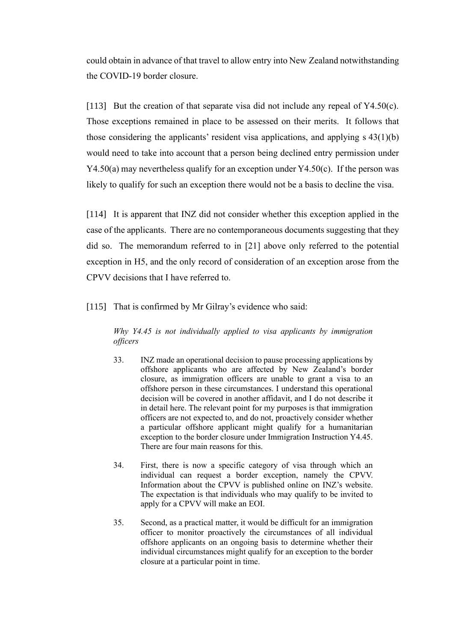could obtain in advance of that travel to allow entry into New Zealand notwithstanding the COVID-19 border closure.

[113] But the creation of that separate visa did not include any repeal of  $Y4.50(c)$ . Those exceptions remained in place to be assessed on their merits. It follows that those considering the applicants' resident visa applications, and applying s 43(1)(b) would need to take into account that a person being declined entry permission under  $Y4.50(a)$  may nevertheless qualify for an exception under  $Y4.50(c)$ . If the person was likely to qualify for such an exception there would not be a basis to decline the visa.

[114] It is apparent that INZ did not consider whether this exception applied in the case of the applicants. There are no contemporaneous documents suggesting that they did so. The memorandum referred to in [\[21\]](#page-5-1) above only referred to the potential exception in H5, and the only record of consideration of an exception arose from the CPVV decisions that I have referred to.

[115] That is confirmed by Mr Gilray's evidence who said:

*Why Y4.45 is not individually applied to visa applicants by immigration officers*

- 33. INZ made an operational decision to pause processing applications by offshore applicants who are affected by New Zealand's border closure, as immigration officers are unable to grant a visa to an offshore person in these circumstances. I understand this operational decision will be covered in another affidavit, and I do not describe it in detail here. The relevant point for my purposes is that immigration officers are not expected to, and do not, proactively consider whether a particular offshore applicant might qualify for a humanitarian exception to the border closure under Immigration Instruction Y4.45. There are four main reasons for this.
- 34. First, there is now a specific category of visa through which an individual can request a border exception, namely the CPVV. Information about the CPVV is published online on INZ's website. The expectation is that individuals who may qualify to be invited to apply for a CPVV will make an EOI.
- 35. Second, as a practical matter, it would be difficult for an immigration officer to monitor proactively the circumstances of all individual offshore applicants on an ongoing basis to determine whether their individual circumstances might qualify for an exception to the border closure at a particular point in time.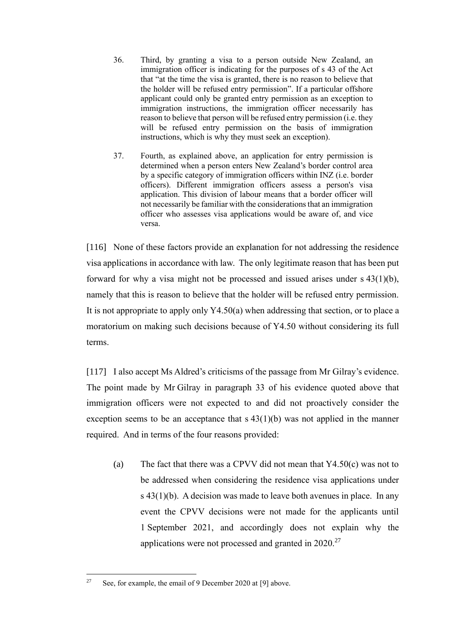- 36. Third, by granting a visa to a person outside New Zealand, an immigration officer is indicating for the purposes of s 43 of the Act that "at the time the visa is granted, there is no reason to believe that the holder will be refused entry permission". If a particular offshore applicant could only be granted entry permission as an exception to immigration instructions, the immigration officer necessarily has reason to believe that person will be refused entry permission (i.e. they will be refused entry permission on the basis of immigration instructions, which is why they must seek an exception).
- 37. Fourth, as explained above, an application for entry permission is determined when a person enters New Zealand's border control area by a specific category of immigration officers within INZ (i.e. border officers). Different immigration officers assess a person's visa application. This division of labour means that a border officer will not necessarily be familiar with the considerations that an immigration officer who assesses visa applications would be aware of, and vice versa.

[116] None of these factors provide an explanation for not addressing the residence visa applications in accordance with law. The only legitimate reason that has been put forward for why a visa might not be processed and issued arises under s 43(1)(b), namely that this is reason to believe that the holder will be refused entry permission. It is not appropriate to apply only Y4.50(a) when addressing that section, or to place a moratorium on making such decisions because of Y4.50 without considering its full terms.

[117] I also accept Ms Aldred's criticisms of the passage from Mr Gilray's evidence. The point made by Mr Gilray in paragraph 33 of his evidence quoted above that immigration officers were not expected to and did not proactively consider the exception seems to be an acceptance that  $s(43(1)(b))$  was not applied in the manner required. And in terms of the four reasons provided:

(a) The fact that there was a CPVV did not mean that Y4.50(c) was not to be addressed when considering the residence visa applications under s  $43(1)(b)$ . A decision was made to leave both avenues in place. In any event the CPVV decisions were not made for the applicants until 1 September 2021, and accordingly does not explain why the applications were not processed and granted in  $2020$ .<sup>27</sup>

<sup>&</sup>lt;sup>27</sup> See, for example, the email of 9 December 2020 a[t \[9\]](#page-3-0) above.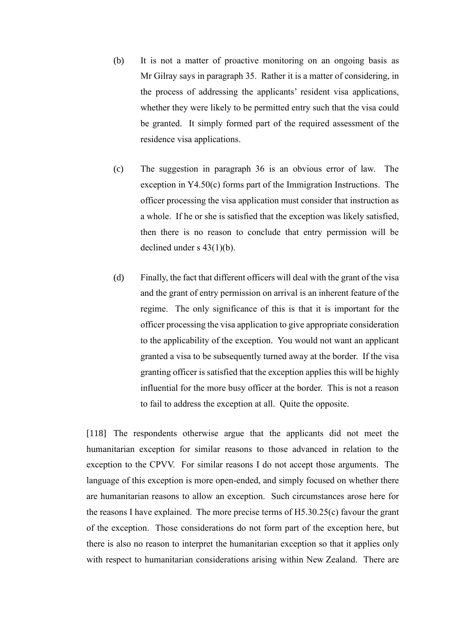- (b) It is not a matter of proactive monitoring on an ongoing basis as Mr Gilray says in paragraph 35. Rather it is a matter of considering, in the process of addressing the applicants' resident visa applications, whether they were likely to be permitted entry such that the visa could be granted. It simply formed part of the required assessment of the residence visa applications.
- (c) The suggestion in paragraph 36 is an obvious error of law. The exception in Y4.50(c) forms part of the Immigration Instructions. The officer processing the visa application must consider that instruction as a whole. If he or she is satisfied that the exception was likely satisfied, then there is no reason to conclude that entry permission will be declined under s 43(1)(b).
- (d) Finally, the fact that different officers will deal with the grant of the visa and the grant of entry permission on arrival is an inherent feature of the regime. The only significance of this is that it is important for the officer processing the visa application to give appropriate consideration to the applicability of the exception. You would not want an applicant granted a visa to be subsequently turned away at the border. If the visa granting officer is satisfied that the exception applies this will be highly influential for the more busy officer at the border. This is not a reason to fail to address the exception at all. Quite the opposite.

[118] The respondents otherwise argue that the applicants did not meet the humanitarian exception for similar reasons to those advanced in relation to the exception to the CPVV. For similar reasons I do not accept those arguments. The language of this exception is more open-ended, and simply focused on whether there are humanitarian reasons to allow an exception. Such circumstances arose here for the reasons I have explained. The more precise terms of H5.30.25(c) favour the grant of the exception. Those considerations do not form part of the exception here, but there is also no reason to interpret the humanitarian exception so that it applies only with respect to humanitarian considerations arising within New Zealand. There are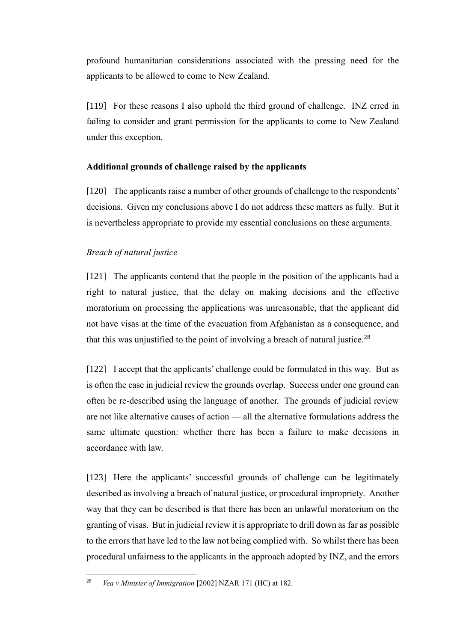profound humanitarian considerations associated with the pressing need for the applicants to be allowed to come to New Zealand.

[119] For these reasons I also uphold the third ground of challenge. INZ erred in failing to consider and grant permission for the applicants to come to New Zealand under this exception.

### <span id="page-38-0"></span>**Additional grounds of challenge raised by the applicants**

[120] The applicants raise a number of other grounds of challenge to the respondents' decisions. Given my conclusions above I do not address these matters as fully. But it is nevertheless appropriate to provide my essential conclusions on these arguments.

## <span id="page-38-1"></span>*Breach of natural justice*

[121] The applicants contend that the people in the position of the applicants had a right to natural justice, that the delay on making decisions and the effective moratorium on processing the applications was unreasonable, that the applicant did not have visas at the time of the evacuation from Afghanistan as a consequence, and that this was unjustified to the point of involving a breach of natural justice.<sup>28</sup>

[122] I accept that the applicants' challenge could be formulated in this way. But as is often the case in judicial review the grounds overlap. Success under one ground can often be re-described using the language of another. The grounds of judicial review are not like alternative causes of action — all the alternative formulations address the same ultimate question: whether there has been a failure to make decisions in accordance with law.

[123] Here the applicants' successful grounds of challenge can be legitimately described as involving a breach of natural justice, or procedural impropriety. Another way that they can be described is that there has been an unlawful moratorium on the granting of visas. But in judicial review it is appropriate to drill down as far as possible to the errors that have led to the law not being complied with. So whilst there has been procedural unfairness to the applicants in the approach adopted by INZ, and the errors

<sup>28</sup> *Vea v Minister of Immigration* [2002] NZAR 171 (HC) at 182.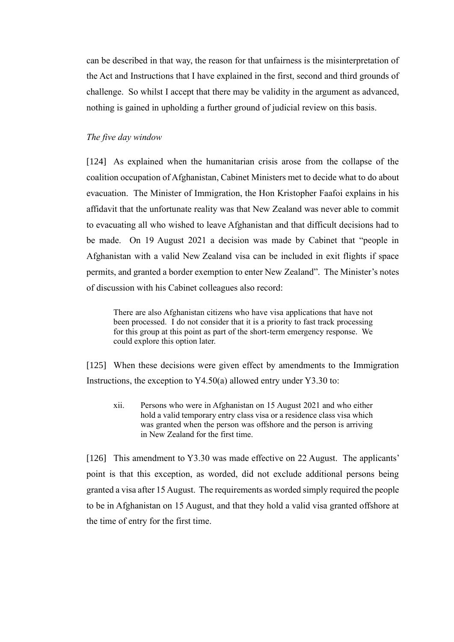can be described in that way, the reason for that unfairness is the misinterpretation of the Act and Instructions that I have explained in the first, second and third grounds of challenge. So whilst I accept that there may be validity in the argument as advanced, nothing is gained in upholding a further ground of judicial review on this basis.

### <span id="page-39-0"></span>*The five day window*

[124] As explained when the humanitarian crisis arose from the collapse of the coalition occupation of Afghanistan, Cabinet Ministers met to decide what to do about evacuation. The Minister of Immigration, the Hon Kristopher Faafoi explains in his affidavit that the unfortunate reality was that New Zealand was never able to commit to evacuating all who wished to leave Afghanistan and that difficult decisions had to be made. On 19 August 2021 a decision was made by Cabinet that "people in Afghanistan with a valid New Zealand visa can be included in exit flights if space permits, and granted a border exemption to enter New Zealand". The Minister's notes of discussion with his Cabinet colleagues also record:

There are also Afghanistan citizens who have visa applications that have not been processed.  $\tilde{I}$  do not consider that it is a priority to fast track processing for this group at this point as part of the short-term emergency response. We could explore this option later.

[125] When these decisions were given effect by amendments to the Immigration Instructions, the exception to Y4.50(a) allowed entry under Y3.30 to:

xii. Persons who were in Afghanistan on 15 August 2021 and who either hold a valid temporary entry class visa or a residence class visa which was granted when the person was offshore and the person is arriving in New Zealand for the first time.

[126] This amendment to Y3.30 was made effective on 22 August. The applicants' point is that this exception, as worded, did not exclude additional persons being granted a visa after 15 August. The requirements as worded simply required the people to be in Afghanistan on 15 August, and that they hold a valid visa granted offshore at the time of entry for the first time.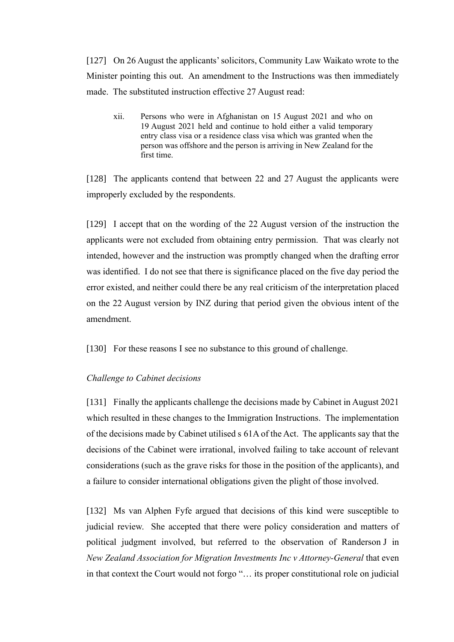[127] On 26 August the applicants' solicitors, Community Law Waikato wrote to the Minister pointing this out. An amendment to the Instructions was then immediately made. The substituted instruction effective 27 August read:

xii. Persons who were in Afghanistan on 15 August 2021 and who on 19 August 2021 held and continue to hold either a valid temporary entry class visa or a residence class visa which was granted when the person was offshore and the person is arriving in New Zealand for the first time.

[128] The applicants contend that between 22 and 27 August the applicants were improperly excluded by the respondents.

[129] I accept that on the wording of the 22 August version of the instruction the applicants were not excluded from obtaining entry permission. That was clearly not intended, however and the instruction was promptly changed when the drafting error was identified. I do not see that there is significance placed on the five day period the error existed, and neither could there be any real criticism of the interpretation placed on the 22 August version by INZ during that period given the obvious intent of the amendment.

[130] For these reasons I see no substance to this ground of challenge.

### <span id="page-40-0"></span>*Challenge to Cabinet decisions*

[131] Finally the applicants challenge the decisions made by Cabinet in August 2021 which resulted in these changes to the Immigration Instructions. The implementation of the decisions made by Cabinet utilised s 61A of the Act. The applicants say that the decisions of the Cabinet were irrational, involved failing to take account of relevant considerations (such as the grave risks for those in the position of the applicants), and a failure to consider international obligations given the plight of those involved.

[132] Ms van Alphen Fyfe argued that decisions of this kind were susceptible to judicial review. She accepted that there were policy consideration and matters of political judgment involved, but referred to the observation of Randerson J in *New Zealand Association for Migration Investments Inc v Attorney-General* that even in that context the Court would not forgo "… its proper constitutional role on judicial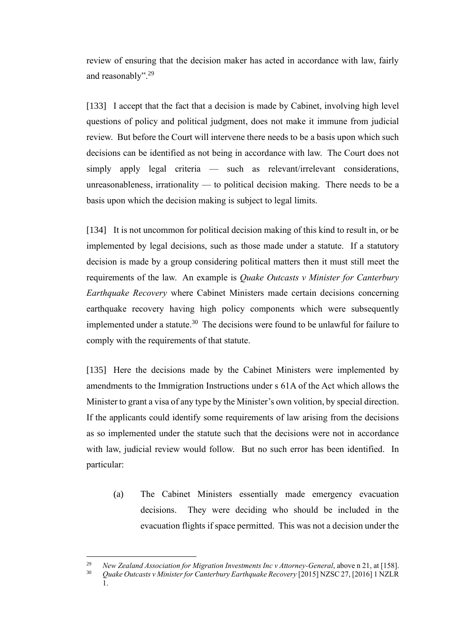review of ensuring that the decision maker has acted in accordance with law, fairly and reasonably".<sup>29</sup>

[133] I accept that the fact that a decision is made by Cabinet, involving high level questions of policy and political judgment, does not make it immune from judicial review. But before the Court will intervene there needs to be a basis upon which such decisions can be identified as not being in accordance with law. The Court does not simply apply legal criteria — such as relevant/irrelevant considerations, unreasonableness, irrationality — to political decision making. There needs to be a basis upon which the decision making is subject to legal limits.

[134] It is not uncommon for political decision making of this kind to result in, or be implemented by legal decisions, such as those made under a statute. If a statutory decision is made by a group considering political matters then it must still meet the requirements of the law. An example is *Quake Outcasts v Minister for Canterbury Earthquake Recovery* where Cabinet Ministers made certain decisions concerning earthquake recovery having high policy components which were subsequently implemented under a statute.<sup>30</sup> The decisions were found to be unlawful for failure to comply with the requirements of that statute.

[135] Here the decisions made by the Cabinet Ministers were implemented by amendments to the Immigration Instructions under s 61A of the Act which allows the Minister to grant a visa of any type by the Minister's own volition, by special direction. If the applicants could identify some requirements of law arising from the decisions as so implemented under the statute such that the decisions were not in accordance with law, judicial review would follow. But no such error has been identified. In particular:

(a) The Cabinet Ministers essentially made emergency evacuation decisions. They were deciding who should be included in the evacuation flights if space permitted. This was not a decision under the

<sup>29</sup> *New Zealand Association for Migration Investments Inc v Attorney-General*, above n [21,](#page-24-1) at [158].

<sup>30</sup> *Quake Outcasts v Minister for Canterbury Earthquake Recovery* [2015] NZSC 27, [2016] 1 NZLR 1.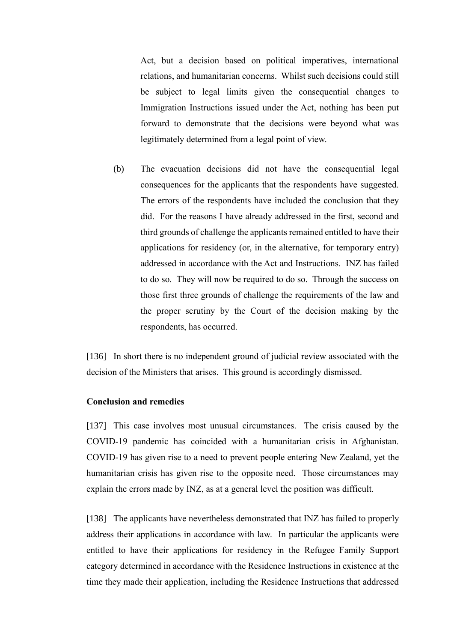Act, but a decision based on political imperatives, international relations, and humanitarian concerns. Whilst such decisions could still be subject to legal limits given the consequential changes to Immigration Instructions issued under the Act, nothing has been put forward to demonstrate that the decisions were beyond what was legitimately determined from a legal point of view.

(b) The evacuation decisions did not have the consequential legal consequences for the applicants that the respondents have suggested. The errors of the respondents have included the conclusion that they did. For the reasons I have already addressed in the first, second and third grounds of challenge the applicants remained entitled to have their applications for residency (or, in the alternative, for temporary entry) addressed in accordance with the Act and Instructions. INZ has failed to do so. They will now be required to do so. Through the success on those first three grounds of challenge the requirements of the law and the proper scrutiny by the Court of the decision making by the respondents, has occurred.

[136] In short there is no independent ground of judicial review associated with the decision of the Ministers that arises. This ground is accordingly dismissed.

#### <span id="page-42-0"></span>**Conclusion and remedies**

[137] This case involves most unusual circumstances. The crisis caused by the COVID-19 pandemic has coincided with a humanitarian crisis in Afghanistan. COVID-19 has given rise to a need to prevent people entering New Zealand, yet the humanitarian crisis has given rise to the opposite need. Those circumstances may explain the errors made by INZ, as at a general level the position was difficult.

[138] The applicants have nevertheless demonstrated that INZ has failed to properly address their applications in accordance with law. In particular the applicants were entitled to have their applications for residency in the Refugee Family Support category determined in accordance with the Residence Instructions in existence at the time they made their application, including the Residence Instructions that addressed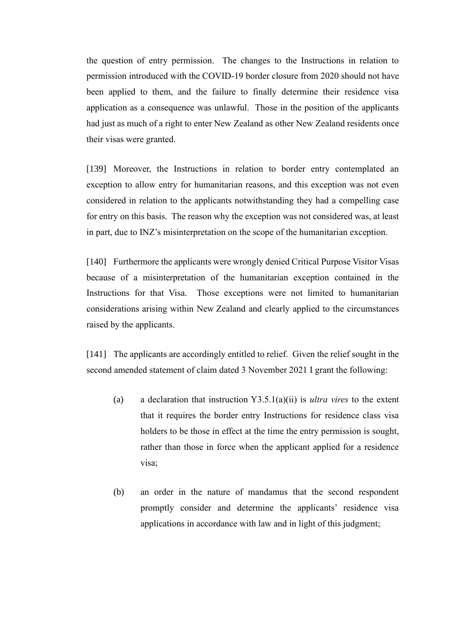the question of entry permission. The changes to the Instructions in relation to permission introduced with the COVID-19 border closure from 2020 should not have been applied to them, and the failure to finally determine their residence visa application as a consequence was unlawful. Those in the position of the applicants had just as much of a right to enter New Zealand as other New Zealand residents once their visas were granted.

[139] Moreover, the Instructions in relation to border entry contemplated an exception to allow entry for humanitarian reasons, and this exception was not even considered in relation to the applicants notwithstanding they had a compelling case for entry on this basis. The reason why the exception was not considered was, at least in part, due to INZ's misinterpretation on the scope of the humanitarian exception.

[140] Furthermore the applicants were wrongly denied Critical Purpose Visitor Visas because of a misinterpretation of the humanitarian exception contained in the Instructions for that Visa. Those exceptions were not limited to humanitarian considerations arising within New Zealand and clearly applied to the circumstances raised by the applicants.

[141] The applicants are accordingly entitled to relief. Given the relief sought in the second amended statement of claim dated 3 November 2021 I grant the following:

- (a) a declaration that instruction Y3.5.1(a)(ii) is *ultra vires* to the extent that it requires the border entry Instructions for residence class visa holders to be those in effect at the time the entry permission is sought, rather than those in force when the applicant applied for a residence visa;
- (b) an order in the nature of mandamus that the second respondent promptly consider and determine the applicants' residence visa applications in accordance with law and in light of this judgment;